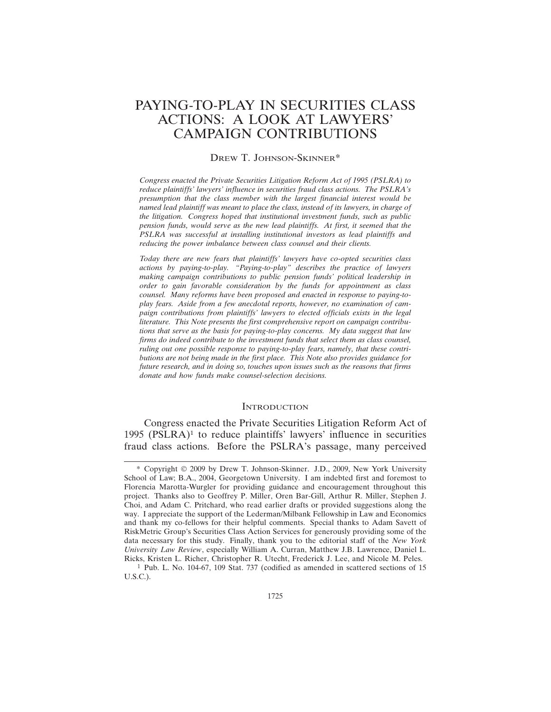# PAYING-TO-PLAY IN SECURITIES CLASS ACTIONS: A LOOK AT LAWYERS' CAMPAIGN CONTRIBUTIONS

# DREW T. JOHNSON-SKINNER\*

*Congress enacted the Private Securities Litigation Reform Act of 1995 (PSLRA) to reduce plaintiffs' lawyers' influence in securities fraud class actions. The PSLRA's presumption that the class member with the largest financial interest would be named lead plaintiff was meant to place the class, instead of its lawyers, in charge of the litigation. Congress hoped that institutional investment funds, such as public pension funds, would serve as the new lead plaintiffs. At first, it seemed that the PSLRA was successful at installing institutional investors as lead plaintiffs and reducing the power imbalance between class counsel and their clients.*

*Today there are new fears that plaintiffs' lawyers have co-opted securities class actions by paying-to-play. "Paying-to-play" describes the practice of lawyers making campaign contributions to public pension funds' political leadership in order to gain favorable consideration by the funds for appointment as class counsel. Many reforms have been proposed and enacted in response to paying-toplay fears. Aside from a few anecdotal reports, however, no examination of campaign contributions from plaintiffs' lawyers to elected officials exists in the legal literature. This Note presents the first comprehensive report on campaign contributions that serve as the basis for paying-to-play concerns. My data suggest that law firms do indeed contribute to the investment funds that select them as class counsel, ruling out one possible response to paying-to-play fears, namely, that these contributions are not being made in the first place. This Note also provides guidance for future research, and in doing so, touches upon issues such as the reasons that firms donate and how funds make counsel-selection decisions.*

# **INTRODUCTION**

Congress enacted the Private Securities Litigation Reform Act of 1995 (PSLRA) $<sup>1</sup>$  to reduce plaintiffs' lawyers' influence in securities</sup> fraud class actions. Before the PSLRA's passage, many perceived

<sup>\*</sup> Copyright © 2009 by Drew T. Johnson-Skinner. J.D., 2009, New York University School of Law; B.A., 2004, Georgetown University. I am indebted first and foremost to Florencia Marotta-Wurgler for providing guidance and encouragement throughout this project. Thanks also to Geoffrey P. Miller, Oren Bar-Gill, Arthur R. Miller, Stephen J. Choi, and Adam C. Pritchard, who read earlier drafts or provided suggestions along the way. I appreciate the support of the Lederman/Milbank Fellowship in Law and Economics and thank my co-fellows for their helpful comments. Special thanks to Adam Savett of RiskMetric Group's Securities Class Action Services for generously providing some of the data necessary for this study. Finally, thank you to the editorial staff of the *New York University Law Review*, especially William A. Curran, Matthew J.B. Lawrence, Daniel L. Ricks, Kristen L. Richer, Christopher R. Utecht, Frederick J. Lee, and Nicole M. Peles.

<sup>1</sup> Pub. L. No. 104-67, 109 Stat. 737 (codified as amended in scattered sections of 15 U.S.C.).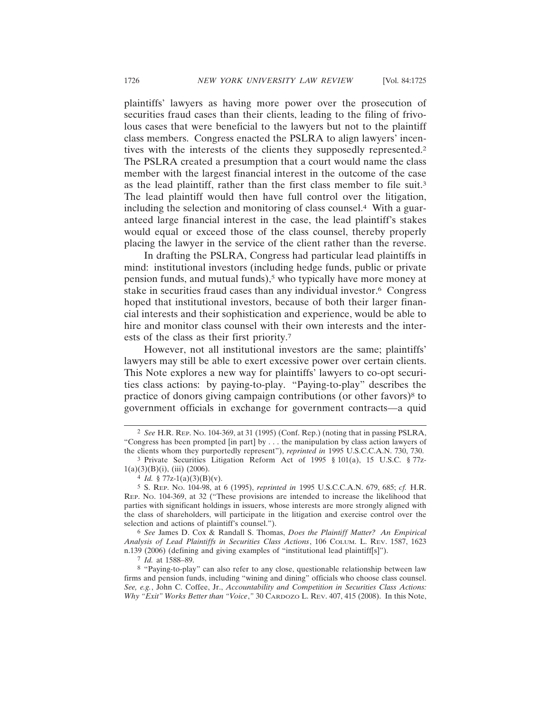plaintiffs' lawyers as having more power over the prosecution of securities fraud cases than their clients, leading to the filing of frivolous cases that were beneficial to the lawyers but not to the plaintiff class members. Congress enacted the PSLRA to align lawyers' incentives with the interests of the clients they supposedly represented.2 The PSLRA created a presumption that a court would name the class member with the largest financial interest in the outcome of the case as the lead plaintiff, rather than the first class member to file suit.3 The lead plaintiff would then have full control over the litigation, including the selection and monitoring of class counsel.4 With a guaranteed large financial interest in the case, the lead plaintiff's stakes would equal or exceed those of the class counsel, thereby properly placing the lawyer in the service of the client rather than the reverse.

In drafting the PSLRA, Congress had particular lead plaintiffs in mind: institutional investors (including hedge funds, public or private pension funds, and mutual funds),<sup>5</sup> who typically have more money at stake in securities fraud cases than any individual investor.6 Congress hoped that institutional investors, because of both their larger financial interests and their sophistication and experience, would be able to hire and monitor class counsel with their own interests and the interests of the class as their first priority.7

However, not all institutional investors are the same; plaintiffs' lawyers may still be able to exert excessive power over certain clients. This Note explores a new way for plaintiffs' lawyers to co-opt securities class actions: by paying-to-play. "Paying-to-play" describes the practice of donors giving campaign contributions (or other favors)<sup>8</sup> to government officials in exchange for government contracts—a quid

<sup>2</sup> *See* H.R. REP. NO. 104-369, at 31 (1995) (Conf. Rep.) (noting that in passing PSLRA, "Congress has been prompted [in part] by . . . the manipulation by class action lawyers of the clients whom they purportedly represent"), *reprinted in* 1995 U.S.C.C.A.N. 730, 730.

<sup>3</sup> Private Securities Litigation Reform Act of 1995 § 101(a), 15 U.S.C. § 77z- $1(a)(3)(B)(i)$ , (iii) (2006).

<sup>4</sup> *Id.* § 77z-1(a)(3)(B)(v).

<sup>5</sup> S. REP. NO. 104-98, at 6 (1995), *reprinted in* 1995 U.S.C.C.A.N. 679, 685; *cf.* H.R. REP. NO. 104-369, at 32 ("These provisions are intended to increase the likelihood that parties with significant holdings in issuers, whose interests are more strongly aligned with the class of shareholders, will participate in the litigation and exercise control over the selection and actions of plaintiff's counsel.").

<sup>6</sup> *See* James D. Cox & Randall S. Thomas, *Does the Plaintiff Matter? An Empirical Analysis of Lead Plaintiffs in Securities Class Actions*, 106 COLUM. L. REV. 1587, 1623 n.139 (2006) (defining and giving examples of "institutional lead plaintiff[s]").

<sup>7</sup> *Id.* at 1588–89.

<sup>8</sup> "Paying-to-play" can also refer to any close, questionable relationship between law firms and pension funds, including "wining and dining" officials who choose class counsel. *See, e.g.*, John C. Coffee, Jr., *Accountability and Competition in Securities Class Actions: Why "Exit" Works Better than "Voice*,*"* 30 CARDOZO L. REV. 407, 415 (2008). In this Note,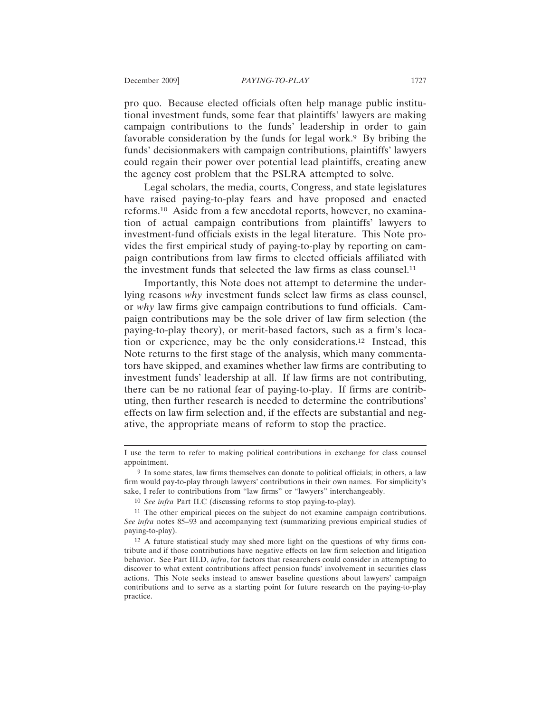pro quo. Because elected officials often help manage public institutional investment funds, some fear that plaintiffs' lawyers are making campaign contributions to the funds' leadership in order to gain favorable consideration by the funds for legal work.<sup>9</sup> By bribing the funds' decisionmakers with campaign contributions, plaintiffs' lawyers could regain their power over potential lead plaintiffs, creating anew the agency cost problem that the PSLRA attempted to solve.

Legal scholars, the media, courts, Congress, and state legislatures have raised paying-to-play fears and have proposed and enacted reforms.10 Aside from a few anecdotal reports, however, no examination of actual campaign contributions from plaintiffs' lawyers to investment-fund officials exists in the legal literature. This Note provides the first empirical study of paying-to-play by reporting on campaign contributions from law firms to elected officials affiliated with the investment funds that selected the law firms as class counsel.11

Importantly, this Note does not attempt to determine the underlying reasons *why* investment funds select law firms as class counsel, or *why* law firms give campaign contributions to fund officials. Campaign contributions may be the sole driver of law firm selection (the paying-to-play theory), or merit-based factors, such as a firm's location or experience, may be the only considerations.12 Instead, this Note returns to the first stage of the analysis, which many commentators have skipped, and examines whether law firms are contributing to investment funds' leadership at all. If law firms are not contributing, there can be no rational fear of paying-to-play. If firms are contributing, then further research is needed to determine the contributions' effects on law firm selection and, if the effects are substantial and negative, the appropriate means of reform to stop the practice.

I use the term to refer to making political contributions in exchange for class counsel appointment.

<sup>9</sup> In some states, law firms themselves can donate to political officials; in others, a law firm would pay-to-play through lawyers' contributions in their own names. For simplicity's sake, I refer to contributions from "law firms" or "lawyers" interchangeably.

<sup>10</sup> *See infra* Part II.C (discussing reforms to stop paying-to-play).

<sup>11</sup> The other empirical pieces on the subject do not examine campaign contributions. *See infra* notes 85–93 and accompanying text (summarizing previous empirical studies of paying-to-play).

<sup>12</sup> A future statistical study may shed more light on the questions of why firms contribute and if those contributions have negative effects on law firm selection and litigation behavior. See Part III.D, *infra*, for factors that researchers could consider in attempting to discover to what extent contributions affect pension funds' involvement in securities class actions. This Note seeks instead to answer baseline questions about lawyers' campaign contributions and to serve as a starting point for future research on the paying-to-play practice.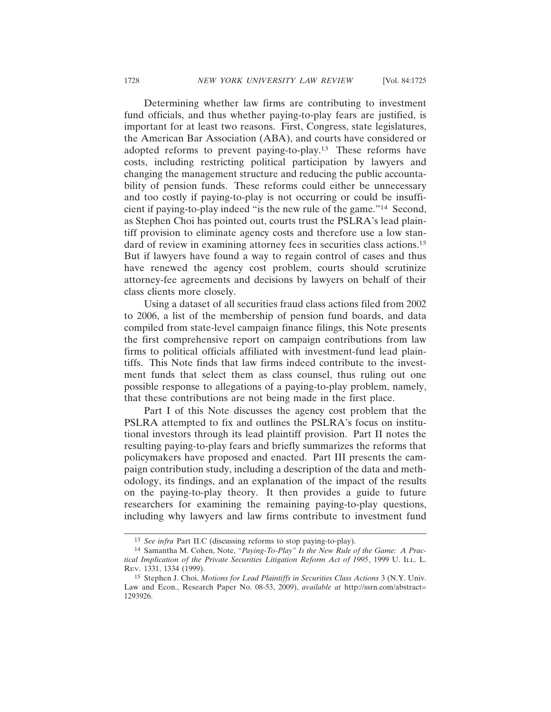Determining whether law firms are contributing to investment fund officials, and thus whether paying-to-play fears are justified, is important for at least two reasons. First, Congress, state legislatures, the American Bar Association (ABA), and courts have considered or adopted reforms to prevent paying-to-play.13 These reforms have costs, including restricting political participation by lawyers and changing the management structure and reducing the public accountability of pension funds. These reforms could either be unnecessary and too costly if paying-to-play is not occurring or could be insufficient if paying-to-play indeed "is the new rule of the game."14 Second, as Stephen Choi has pointed out, courts trust the PSLRA's lead plaintiff provision to eliminate agency costs and therefore use a low standard of review in examining attorney fees in securities class actions.15 But if lawyers have found a way to regain control of cases and thus have renewed the agency cost problem, courts should scrutinize attorney-fee agreements and decisions by lawyers on behalf of their class clients more closely.

Using a dataset of all securities fraud class actions filed from 2002 to 2006, a list of the membership of pension fund boards, and data compiled from state-level campaign finance filings, this Note presents the first comprehensive report on campaign contributions from law firms to political officials affiliated with investment-fund lead plaintiffs. This Note finds that law firms indeed contribute to the investment funds that select them as class counsel, thus ruling out one possible response to allegations of a paying-to-play problem, namely, that these contributions are not being made in the first place.

Part I of this Note discusses the agency cost problem that the PSLRA attempted to fix and outlines the PSLRA's focus on institutional investors through its lead plaintiff provision. Part II notes the resulting paying-to-play fears and briefly summarizes the reforms that policymakers have proposed and enacted. Part III presents the campaign contribution study, including a description of the data and methodology, its findings, and an explanation of the impact of the results on the paying-to-play theory. It then provides a guide to future researchers for examining the remaining paying-to-play questions, including why lawyers and law firms contribute to investment fund

<sup>13</sup> *See infra* Part II.C (discussing reforms to stop paying-to-play).

<sup>14</sup> Samantha M. Cohen, Note, *"Paying-To-Play" Is the New Rule of the Game: A Practical Implication of the Private Securities Litigation Reform Act of 1995*, 1999 U. ILL. L. REV. 1331, 1334 (1999).

<sup>15</sup> Stephen J. Choi, *Motions for Lead Plaintiffs in Securities Class Actions* 3 (N.Y. Univ. Law and Econ., Research Paper No. 08-53, 2009), *available at* http://ssrn.com/abstract= 1293926.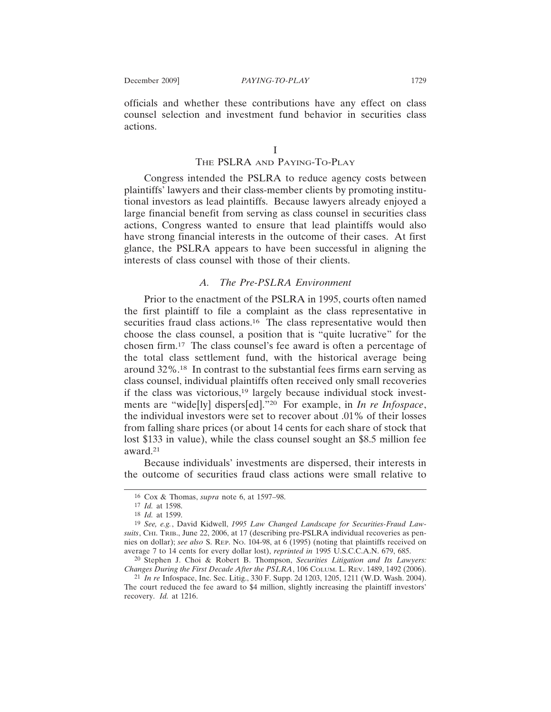officials and whether these contributions have any effect on class counsel selection and investment fund behavior in securities class actions.

I

#### THE PSLRA AND PAYING-TO-PLAY

Congress intended the PSLRA to reduce agency costs between plaintiffs' lawyers and their class-member clients by promoting institutional investors as lead plaintiffs. Because lawyers already enjoyed a large financial benefit from serving as class counsel in securities class actions, Congress wanted to ensure that lead plaintiffs would also have strong financial interests in the outcome of their cases. At first glance, the PSLRA appears to have been successful in aligning the interests of class counsel with those of their clients.

# *A. The Pre-PSLRA Environment*

Prior to the enactment of the PSLRA in 1995, courts often named the first plaintiff to file a complaint as the class representative in securities fraud class actions.<sup>16</sup> The class representative would then choose the class counsel, a position that is "quite lucrative" for the chosen firm.17 The class counsel's fee award is often a percentage of the total class settlement fund, with the historical average being around 32%.18 In contrast to the substantial fees firms earn serving as class counsel, individual plaintiffs often received only small recoveries if the class was victorious,19 largely because individual stock investments are "wide[ly] dispers[ed]."20 For example, in *In re Infospace*, the individual investors were set to recover about .01% of their losses from falling share prices (or about 14 cents for each share of stock that lost \$133 in value), while the class counsel sought an \$8.5 million fee award.21

Because individuals' investments are dispersed, their interests in the outcome of securities fraud class actions were small relative to

21 *In re* Infospace, Inc. Sec. Litig., 330 F. Supp. 2d 1203, 1205, 1211 (W.D. Wash. 2004). The court reduced the fee award to \$4 million, slightly increasing the plaintiff investors' recovery. *Id.* at 1216.

<sup>16</sup> Cox & Thomas, *supra* note 6, at 1597–98.

<sup>17</sup> *Id.* at 1598.

<sup>18</sup> *Id.* at 1599.

<sup>19</sup> *See, e.g.*, David Kidwell, *1995 Law Changed Landscape for Securities-Fraud Lawsuits*, CHI. TRIB., June 22, 2006, at 17 (describing pre-PSLRA individual recoveries as pennies on dollar); *see also* S. REP. NO. 104-98, at 6 (1995) (noting that plaintiffs received on average 7 to 14 cents for every dollar lost), *reprinted in* 1995 U.S.C.C.A.N. 679, 685.

<sup>20</sup> Stephen J. Choi & Robert B. Thompson, *Securities Litigation and Its Lawyers: Changes During the First Decade After the PSLRA*, 106 COLUM. L. REV. 1489, 1492 (2006).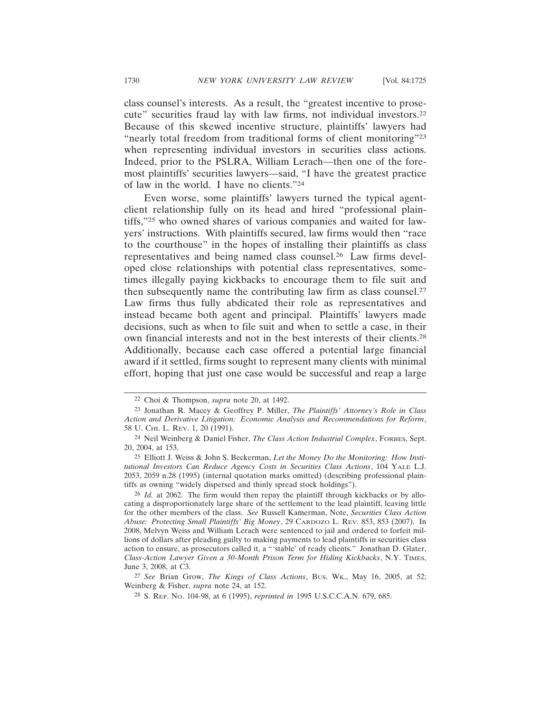class counsel's interests. As a result, the "greatest incentive to prosecute" securities fraud lay with law firms, not individual investors.22 Because of this skewed incentive structure, plaintiffs' lawyers had "nearly total freedom from traditional forms of client monitoring"<sup>23</sup> when representing individual investors in securities class actions. Indeed, prior to the PSLRA, William Lerach—then one of the foremost plaintiffs' securities lawyers—said, "I have the greatest practice

Even worse, some plaintiffs' lawyers turned the typical agentclient relationship fully on its head and hired "professional plaintiffs,"25 who owned shares of various companies and waited for lawyers' instructions. With plaintiffs secured, law firms would then "race to the courthouse" in the hopes of installing their plaintiffs as class representatives and being named class counsel.26 Law firms developed close relationships with potential class representatives, sometimes illegally paying kickbacks to encourage them to file suit and then subsequently name the contributing law firm as class counsel.27 Law firms thus fully abdicated their role as representatives and instead became both agent and principal. Plaintiffs' lawyers made decisions, such as when to file suit and when to settle a case, in their own financial interests and not in the best interests of their clients.28 Additionally, because each case offered a potential large financial award if it settled, firms sought to represent many clients with minimal effort, hoping that just one case would be successful and reap a large

of law in the world. I have no clients."24

27 *See* Brian Grow, *The Kings of Class Actions*, BUS. WK., May 16, 2005, at 52; Weinberg & Fisher, *supra* note 24, at 152.

<sup>22</sup> Choi & Thompson, *supra* note 20, at 1492.

<sup>23</sup> Jonathan R. Macey & Geoffrey P. Miller, *The Plaintiffs' Attorney's Role in Class Action and Derivative Litigation: Economic Analysis and Recommendations for Reform*, 58 U. CHI. L. REV. 1, 20 (1991).

<sup>24</sup> Neil Weinberg & Daniel Fisher, *The Class Action Industrial Complex*, FORBES, Sept. 20, 2004, at 153.

<sup>25</sup> Elliott J. Weiss & John S. Beckerman, *Let the Money Do the Monitoring: How Institutional Investors Can Reduce Agency Costs in Securities Class Actions*, 104 YALE L.J. 2053, 2059 n.28 (1995) (internal quotation marks omitted) (describing professional plaintiffs as owning "widely dispersed and thinly spread stock holdings").

<sup>&</sup>lt;sup>26</sup> *Id.* at 2062. The firm would then repay the plaintiff through kickbacks or by allocating a disproportionately large share of the settlement to the lead plaintiff, leaving little for the other members of the class. *See* Russell Kamerman, Note, *Securities Class Action Abuse: Protecting Small Plaintiffs' Big Money*, 29 CARDOZO L. REV. 853, 853 (2007). In 2008, Melvyn Weiss and William Lerach were sentenced to jail and ordered to forfeit millions of dollars after pleading guilty to making payments to lead plaintiffs in securities class action to ensure, as prosecutors called it, a "'stable' of ready clients." Jonathan D. Glater, *Class-Action Lawyer Given a 30-Month Prison Term for Hiding Kickbacks*, N.Y. TIMES, June 3, 2008, at C3.

<sup>28</sup> S. REP. NO. 104-98, at 6 (1995), *reprinted in* 1995 U.S.C.C.A.N. 679, 685.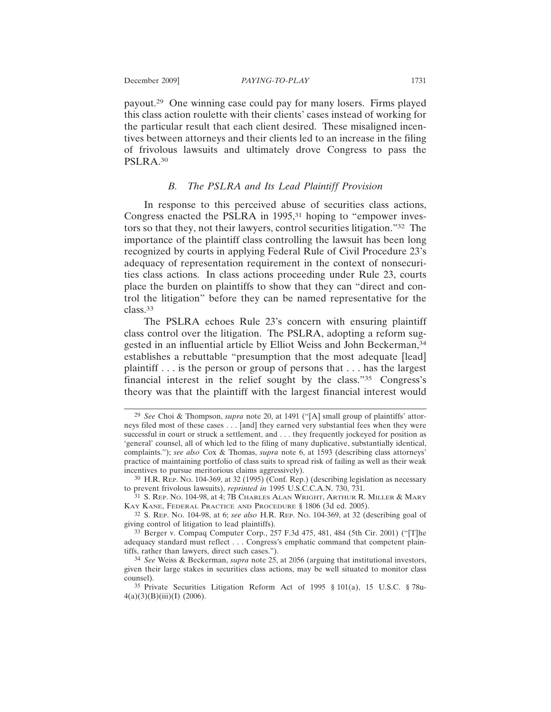payout.29 One winning case could pay for many losers. Firms played this class action roulette with their clients' cases instead of working for the particular result that each client desired. These misaligned incentives between attorneys and their clients led to an increase in the filing of frivolous lawsuits and ultimately drove Congress to pass the PSLRA.30

# *B. The PSLRA and Its Lead Plaintiff Provision*

In response to this perceived abuse of securities class actions, Congress enacted the PSLRA in 1995,<sup>31</sup> hoping to "empower investors so that they, not their lawyers, control securities litigation."32 The importance of the plaintiff class controlling the lawsuit has been long recognized by courts in applying Federal Rule of Civil Procedure 23's adequacy of representation requirement in the context of nonsecurities class actions. In class actions proceeding under Rule 23, courts place the burden on plaintiffs to show that they can "direct and control the litigation" before they can be named representative for the class.33

The PSLRA echoes Rule 23's concern with ensuring plaintiff class control over the litigation. The PSLRA, adopting a reform suggested in an influential article by Elliot Weiss and John Beckerman,34 establishes a rebuttable "presumption that the most adequate [lead] plaintiff . . . is the person or group of persons that . . . has the largest financial interest in the relief sought by the class."35 Congress's theory was that the plaintiff with the largest financial interest would

32 S. REP. NO. 104-98, at 6; *see also* H.R. REP. NO. 104-369, at 32 (describing goal of giving control of litigation to lead plaintiffs).

33 Berger v. Compaq Computer Corp., 257 F.3d 475, 481, 484 (5th Cir. 2001) ("[T]he adequacy standard must reflect . . . Congress's emphatic command that competent plaintiffs, rather than lawyers, direct such cases.").

<sup>29</sup> *See* Choi & Thompson, *supra* note 20, at 1491 ("[A] small group of plaintiffs' attorneys filed most of these cases . . . [and] they earned very substantial fees when they were successful in court or struck a settlement, and . . . they frequently jockeyed for position as 'general' counsel, all of which led to the filing of many duplicative, substantially identical, complaints."); *see also* Cox & Thomas, *supra* note 6, at 1593 (describing class attorneys' practice of maintaining portfolio of class suits to spread risk of failing as well as their weak incentives to pursue meritorious claims aggressively).

<sup>30</sup> H.R. REP. NO. 104-369, at 32 (1995) (Conf. Rep.) (describing legislation as necessary to prevent frivolous lawsuits), *reprinted in* 1995 U.S.C.C.A.N. 730, 731.

<sup>&</sup>lt;sup>31</sup> S. Rep. No. 104-98, at 4; 7B CHARLES ALAN WRIGHT, ARTHUR R. MILLER & MARY KAY KANE, FEDERAL PRACTICE AND PROCEDURE § 1806 (3d ed. 2005).

<sup>34</sup> *See* Weiss & Beckerman, *supra* note 25, at 2056 (arguing that institutional investors, given their large stakes in securities class actions, may be well situated to monitor class counsel).

<sup>35</sup> Private Securities Litigation Reform Act of 1995 § 101(a), 15 U.S.C. § 78u- $4(a)(3)(B)(iii)(I)$  (2006).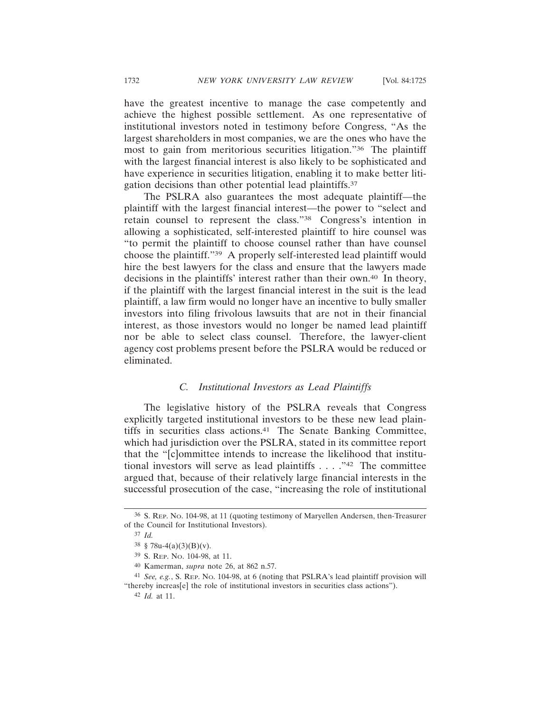have the greatest incentive to manage the case competently and achieve the highest possible settlement. As one representative of institutional investors noted in testimony before Congress, "As the largest shareholders in most companies, we are the ones who have the most to gain from meritorious securities litigation."36 The plaintiff with the largest financial interest is also likely to be sophisticated and have experience in securities litigation, enabling it to make better litigation decisions than other potential lead plaintiffs.<sup>37</sup>

The PSLRA also guarantees the most adequate plaintiff—the plaintiff with the largest financial interest—the power to "select and retain counsel to represent the class."38 Congress's intention in allowing a sophisticated, self-interested plaintiff to hire counsel was "to permit the plaintiff to choose counsel rather than have counsel choose the plaintiff."39 A properly self-interested lead plaintiff would hire the best lawyers for the class and ensure that the lawyers made decisions in the plaintiffs' interest rather than their own.40 In theory, if the plaintiff with the largest financial interest in the suit is the lead plaintiff, a law firm would no longer have an incentive to bully smaller investors into filing frivolous lawsuits that are not in their financial interest, as those investors would no longer be named lead plaintiff nor be able to select class counsel. Therefore, the lawyer-client agency cost problems present before the PSLRA would be reduced or eliminated.

# *C. Institutional Investors as Lead Plaintiffs*

The legislative history of the PSLRA reveals that Congress explicitly targeted institutional investors to be these new lead plaintiffs in securities class actions.<sup>41</sup> The Senate Banking Committee, which had jurisdiction over the PSLRA, stated in its committee report that the "[c]ommittee intends to increase the likelihood that institutional investors will serve as lead plaintiffs . . . ."42 The committee argued that, because of their relatively large financial interests in the successful prosecution of the case, "increasing the role of institutional

42 *Id.* at 11.

<sup>36</sup> S. REP. NO. 104-98, at 11 (quoting testimony of Maryellen Andersen, then-Treasurer of the Council for Institutional Investors).

<sup>37</sup> *Id.*

 $38 \text{ } 878u-4(a)(3)(B)(v)$ .

<sup>39</sup> S. REP. NO. 104-98, at 11.

<sup>40</sup> Kamerman, *supra* note 26, at 862 n.57.

<sup>41</sup> *See, e.g.*, S. REP. NO. 104-98, at 6 (noting that PSLRA's lead plaintiff provision will "thereby increas[e] the role of institutional investors in securities class actions").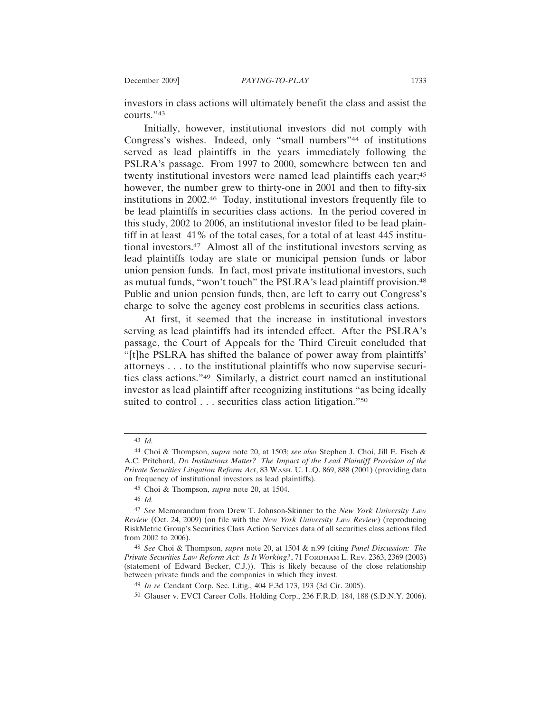investors in class actions will ultimately benefit the class and assist the courts."43

Initially, however, institutional investors did not comply with Congress's wishes. Indeed, only "small numbers"44 of institutions served as lead plaintiffs in the years immediately following the PSLRA's passage. From 1997 to 2000, somewhere between ten and twenty institutional investors were named lead plaintiffs each year;45 however, the number grew to thirty-one in 2001 and then to fifty-six institutions in 2002.46 Today, institutional investors frequently file to be lead plaintiffs in securities class actions. In the period covered in this study, 2002 to 2006, an institutional investor filed to be lead plaintiff in at least 41% of the total cases, for a total of at least 445 institutional investors.47 Almost all of the institutional investors serving as lead plaintiffs today are state or municipal pension funds or labor union pension funds. In fact, most private institutional investors, such as mutual funds, "won't touch" the PSLRA's lead plaintiff provision.<sup>48</sup> Public and union pension funds, then, are left to carry out Congress's charge to solve the agency cost problems in securities class actions.

At first, it seemed that the increase in institutional investors serving as lead plaintiffs had its intended effect. After the PSLRA's passage, the Court of Appeals for the Third Circuit concluded that "[t]he PSLRA has shifted the balance of power away from plaintiffs' attorneys . . . to the institutional plaintiffs who now supervise securities class actions."49 Similarly, a district court named an institutional investor as lead plaintiff after recognizing institutions "as being ideally suited to control . . . securities class action litigation."<sup>50</sup>

<sup>43</sup> *Id.*

<sup>44</sup> Choi & Thompson, *supra* note 20, at 1503; *see also* Stephen J. Choi, Jill E. Fisch & A.C. Pritchard, *Do Institutions Matter? The Impact of the Lead Plaintiff Provision of the Private Securities Litigation Reform Act*, 83 WASH. U. L.Q. 869, 888 (2001) (providing data on frequency of institutional investors as lead plaintiffs).

<sup>45</sup> Choi & Thompson, *supra* note 20, at 1504.

<sup>46</sup> *Id.*

<sup>47</sup> *See* Memorandum from Drew T. Johnson-Skinner to the *New York University Law Review* (Oct. 24, 2009) (on file with the *New York University Law Review*) (reproducing RiskMetric Group's Securities Class Action Services data of all securities class actions filed from 2002 to 2006).

<sup>48</sup> *See* Choi & Thompson, *supra* note 20, at 1504 & n.99 (citing *Panel Discussion: The Private Securities Law Reform Act: Is It Working?*, 71 FORDHAM L. REV. 2363, 2369 (2003) (statement of Edward Becker, C.J.)). This is likely because of the close relationship between private funds and the companies in which they invest.

<sup>49</sup> *In re* Cendant Corp. Sec. Litig., 404 F.3d 173, 193 (3d Cir. 2005).

<sup>50</sup> Glauser v. EVCI Career Colls. Holding Corp., 236 F.R.D. 184, 188 (S.D.N.Y. 2006).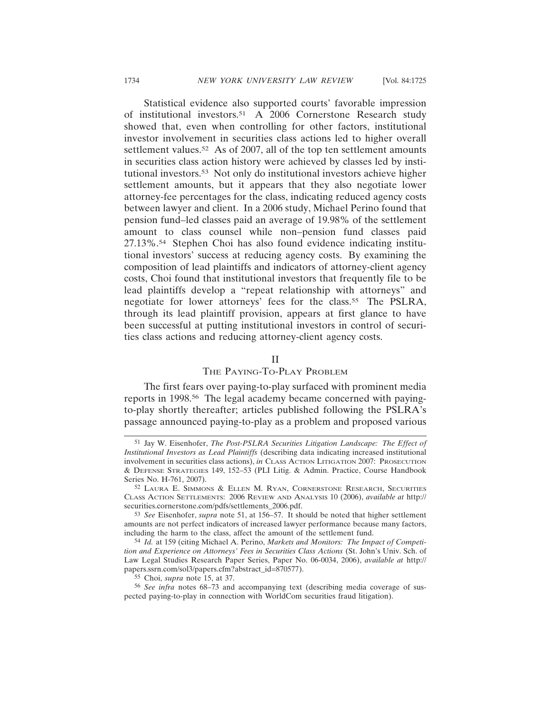Statistical evidence also supported courts' favorable impression of institutional investors.51 A 2006 Cornerstone Research study showed that, even when controlling for other factors, institutional investor involvement in securities class actions led to higher overall settlement values.<sup>52</sup> As of 2007, all of the top ten settlement amounts in securities class action history were achieved by classes led by institutional investors.53 Not only do institutional investors achieve higher settlement amounts, but it appears that they also negotiate lower attorney-fee percentages for the class, indicating reduced agency costs between lawyer and client. In a 2006 study, Michael Perino found that pension fund–led classes paid an average of 19.98% of the settlement amount to class counsel while non–pension fund classes paid 27.13%.54 Stephen Choi has also found evidence indicating institutional investors' success at reducing agency costs. By examining the composition of lead plaintiffs and indicators of attorney-client agency costs, Choi found that institutional investors that frequently file to be lead plaintiffs develop a "repeat relationship with attorneys" and negotiate for lower attorneys' fees for the class.<sup>55</sup> The PSLRA, through its lead plaintiff provision, appears at first glance to have been successful at putting institutional investors in control of securities class actions and reducing attorney-client agency costs.

# II

# THE PAYING-TO-PLAY PROBLEM

The first fears over paying-to-play surfaced with prominent media reports in 1998.56 The legal academy became concerned with payingto-play shortly thereafter; articles published following the PSLRA's passage announced paying-to-play as a problem and proposed various

<sup>51</sup> Jay W. Eisenhofer, *The Post-PSLRA Securities Litigation Landscape: The Effect of Institutional Investors as Lead Plaintiffs* (describing data indicating increased institutional involvement in securities class actions), *in* CLASS ACTION LITIGATION 2007: PROSECUTION & DEFENSE STRATEGIES 149, 152–53 (PLI Litig. & Admin. Practice, Course Handbook Series No. H-761, 2007).

<sup>52</sup> LAURA E. SIMMONS & ELLEN M. RYAN, CORNERSTONE RESEARCH, SECURITIES CLASS ACTION SETTLEMENTS: 2006 REVIEW AND ANALYSIS 10 (2006), *available at* http:// securities.cornerstone.com/pdfs/settlements\_2006.pdf.

<sup>53</sup> *See* Eisenhofer, *supra* note 51, at 156–57. It should be noted that higher settlement amounts are not perfect indicators of increased lawyer performance because many factors, including the harm to the class, affect the amount of the settlement fund.

<sup>54</sup> *Id.* at 159 (citing Michael A. Perino, *Markets and Monitors: The Impact of Competition and Experience on Attorneys' Fees in Securities Class Actions* (St. John's Univ. Sch. of Law Legal Studies Research Paper Series, Paper No. 06-0034, 2006), *available at* http:// papers.ssrn.com/sol3/papers.cfm?abstract\_id=870577).

<sup>55</sup> Choi, *supra* note 15, at 37.

<sup>56</sup> *See infra* notes 68–73 and accompanying text (describing media coverage of suspected paying-to-play in connection with WorldCom securities fraud litigation).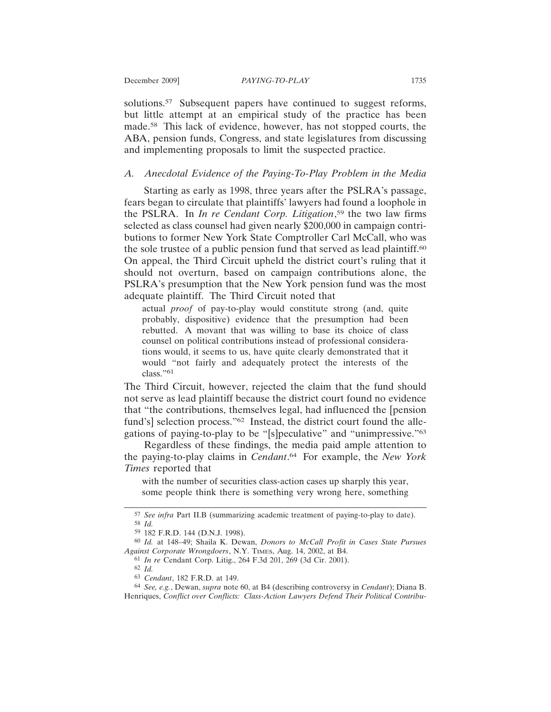solutions.<sup>57</sup> Subsequent papers have continued to suggest reforms, but little attempt at an empirical study of the practice has been made.58 This lack of evidence, however, has not stopped courts, the ABA, pension funds, Congress, and state legislatures from discussing and implementing proposals to limit the suspected practice.

# *A. Anecdotal Evidence of the Paying-To-Play Problem in the Media*

Starting as early as 1998, three years after the PSLRA's passage, fears began to circulate that plaintiffs' lawyers had found a loophole in the PSLRA. In *In re Cendant Corp. Litigation*, 59 the two law firms selected as class counsel had given nearly \$200,000 in campaign contributions to former New York State Comptroller Carl McCall, who was the sole trustee of a public pension fund that served as lead plaintiff.<sup>60</sup> On appeal, the Third Circuit upheld the district court's ruling that it should not overturn, based on campaign contributions alone, the PSLRA's presumption that the New York pension fund was the most adequate plaintiff. The Third Circuit noted that

actual *proof* of pay-to-play would constitute strong (and, quite probably, dispositive) evidence that the presumption had been rebutted. A movant that was willing to base its choice of class counsel on political contributions instead of professional considerations would, it seems to us, have quite clearly demonstrated that it would "not fairly and adequately protect the interests of the class."<sup>61</sup>

The Third Circuit, however, rejected the claim that the fund should not serve as lead plaintiff because the district court found no evidence that "the contributions, themselves legal, had influenced the [pension fund's] selection process."<sup>62</sup> Instead, the district court found the allegations of paying-to-play to be "[s]peculative" and "unimpressive."63

Regardless of these findings, the media paid ample attention to the paying-to-play claims in *Cendant*. 64 For example, the *New York Times* reported that

with the number of securities class-action cases up sharply this year, some people think there is something very wrong here, something

<sup>57</sup> *See infra* Part II.B (summarizing academic treatment of paying-to-play to date). 58 *Id.*

<sup>59</sup> 182 F.R.D. 144 (D.N.J. 1998).

<sup>60</sup> *Id.* at 148–49; Shaila K. Dewan, *Donors to McCall Profit in Cases State Pursues Against Corporate Wrongdoers*, N.Y. TIMES, Aug. 14, 2002, at B4.

<sup>61</sup> *In re* Cendant Corp. Litig., 264 F.3d 201, 269 (3d Cir. 2001).

<sup>62</sup> *Id.*

<sup>63</sup> *Cendant*, 182 F.R.D. at 149.

<sup>64</sup> *See, e.g.*, Dewan, *supra* note 60, at B4 (describing controversy in *Cendant*); Diana B. Henriques, *Conflict over Conflicts: Class-Action Lawyers Defend Their Political Contribu-*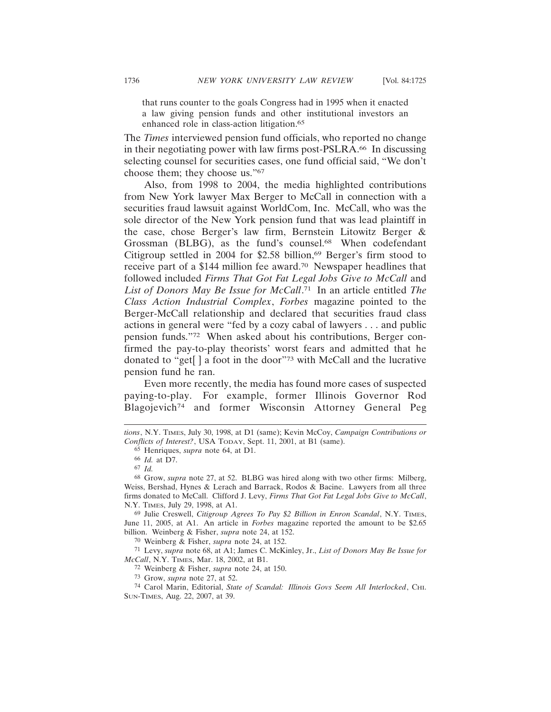that runs counter to the goals Congress had in 1995 when it enacted a law giving pension funds and other institutional investors an enhanced role in class-action litigation.<sup>65</sup>

The *Times* interviewed pension fund officials, who reported no change in their negotiating power with law firms post-PSLRA.66 In discussing selecting counsel for securities cases, one fund official said, "We don't choose them; they choose us."67

Also, from 1998 to 2004, the media highlighted contributions from New York lawyer Max Berger to McCall in connection with a securities fraud lawsuit against WorldCom, Inc. McCall, who was the sole director of the New York pension fund that was lead plaintiff in the case, chose Berger's law firm, Bernstein Litowitz Berger & Grossman (BLBG), as the fund's counsel.<sup>68</sup> When codefendant Citigroup settled in 2004 for \$2.58 billion,<sup>69</sup> Berger's firm stood to receive part of a \$144 million fee award.70 Newspaper headlines that followed included *Firms That Got Fat Legal Jobs Give to McCall* and *List of Donors May Be Issue for McCall*. 71 In an article entitled *The Class Action Industrial Complex*, *Forbes* magazine pointed to the Berger-McCall relationship and declared that securities fraud class actions in general were "fed by a cozy cabal of lawyers . . . and public pension funds."72 When asked about his contributions, Berger confirmed the pay-to-play theorists' worst fears and admitted that he donated to "get[ ] a foot in the door"73 with McCall and the lucrative pension fund he ran.

Even more recently, the media has found more cases of suspected paying-to-play. For example, former Illinois Governor Rod Blagojevich<sup>74</sup> and former Wisconsin Attorney General Peg

65 Henriques, *supra* note 64, at D1.

69 Julie Creswell, *Citigroup Agrees To Pay \$2 Billion in Enron Scandal*, N.Y. TIMES, June 11, 2005, at A1. An article in *Forbes* magazine reported the amount to be \$2.65 billion. Weinberg & Fisher, *supra* note 24, at 152.

70 Weinberg & Fisher, *supra* note 24, at 152.

71 Levy, *supra* note 68, at A1; James C. McKinley, Jr., *List of Donors May Be Issue for McCall*, N.Y. TIMES, Mar. 18, 2002, at B1.

72 Weinberg & Fisher, *supra* note 24, at 150.

73 Grow, *supra* note 27, at 52.

*tions*, N.Y. TIMES, July 30, 1998, at D1 (same); Kevin McCoy, *Campaign Contributions or Conflicts of Interest?*, USA TODAY, Sept. 11, 2001, at B1 (same).

<sup>66</sup> *Id.* at D7.

<sup>67</sup> *Id.*

<sup>68</sup> Grow, *supra* note 27, at 52. BLBG was hired along with two other firms: Milberg, Weiss, Bershad, Hynes & Lerach and Barrack, Rodos & Bacine. Lawyers from all three firms donated to McCall. Clifford J. Levy, *Firms That Got Fat Legal Jobs Give to McCall*, N.Y. TIMES, July 29, 1998, at A1.

<sup>74</sup> Carol Marin, Editorial, *State of Scandal: Illinois Govs Seem All Interlocked*, CHI. SUN-TIMES, Aug. 22, 2007, at 39.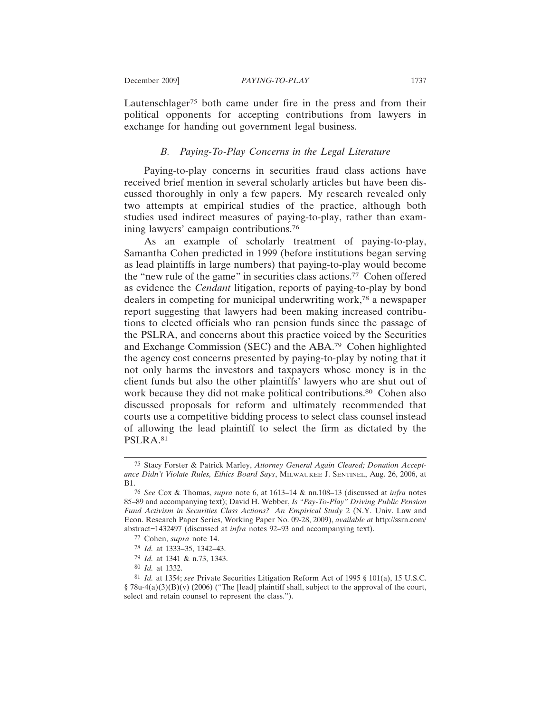Lautenschlager<sup>75</sup> both came under fire in the press and from their political opponents for accepting contributions from lawyers in exchange for handing out government legal business.

## *B. Paying-To-Play Concerns in the Legal Literature*

Paying-to-play concerns in securities fraud class actions have received brief mention in several scholarly articles but have been discussed thoroughly in only a few papers. My research revealed only two attempts at empirical studies of the practice, although both studies used indirect measures of paying-to-play, rather than examining lawyers' campaign contributions.76

As an example of scholarly treatment of paying-to-play, Samantha Cohen predicted in 1999 (before institutions began serving as lead plaintiffs in large numbers) that paying-to-play would become the "new rule of the game" in securities class actions.77 Cohen offered as evidence the *Cendant* litigation, reports of paying-to-play by bond dealers in competing for municipal underwriting work,78 a newspaper report suggesting that lawyers had been making increased contributions to elected officials who ran pension funds since the passage of the PSLRA, and concerns about this practice voiced by the Securities and Exchange Commission (SEC) and the ABA.79 Cohen highlighted the agency cost concerns presented by paying-to-play by noting that it not only harms the investors and taxpayers whose money is in the client funds but also the other plaintiffs' lawyers who are shut out of work because they did not make political contributions.<sup>80</sup> Cohen also discussed proposals for reform and ultimately recommended that courts use a competitive bidding process to select class counsel instead of allowing the lead plaintiff to select the firm as dictated by the PSLRA.81

<sup>75</sup> Stacy Forster & Patrick Marley, *Attorney General Again Cleared; Donation Acceptance Didn't Violate Rules, Ethics Board Says*, MILWAUKEE J. SENTINEL, Aug. 26, 2006, at B1.

<sup>76</sup> *See* Cox & Thomas, *supra* note 6, at 1613–14 & nn.108–13 (discussed at *infra* notes 85–89 and accompanying text); David H. Webber, *Is "Pay-To-Play" Driving Public Pension Fund Activism in Securities Class Actions? An Empirical Study* 2 (N.Y. Univ. Law and Econ. Research Paper Series, Working Paper No. 09-28, 2009), *available at* http://ssrn.com/ abstract=1432497 (discussed at *infra* notes 92–93 and accompanying text).

<sup>77</sup> Cohen, *supra* note 14.

<sup>78</sup> *Id.* at 1333–35, 1342–43.

<sup>79</sup> *Id.* at 1341 & n.73, 1343.

<sup>80</sup> *Id.* at 1332.

<sup>81</sup> *Id.* at 1354; *see* Private Securities Litigation Reform Act of 1995 § 101(a), 15 U.S.C. § 78u-4(a)(3)(B)(v) (2006) ("The [lead] plaintiff shall, subject to the approval of the court, select and retain counsel to represent the class.").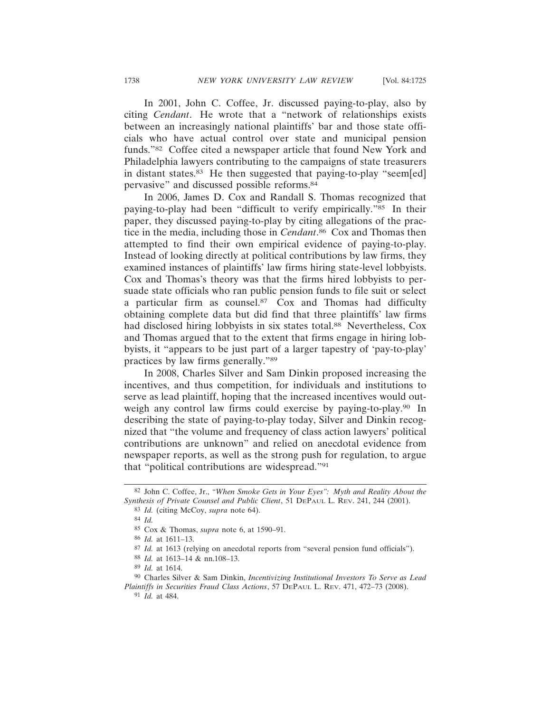In 2001, John C. Coffee, Jr. discussed paying-to-play, also by citing *Cendant*. He wrote that a "network of relationships exists between an increasingly national plaintiffs' bar and those state officials who have actual control over state and municipal pension funds."82 Coffee cited a newspaper article that found New York and Philadelphia lawyers contributing to the campaigns of state treasurers in distant states.83 He then suggested that paying-to-play "seem[ed] pervasive" and discussed possible reforms.84

In 2006, James D. Cox and Randall S. Thomas recognized that paying-to-play had been "difficult to verify empirically."85 In their paper, they discussed paying-to-play by citing allegations of the practice in the media, including those in *Cendant*. 86 Cox and Thomas then attempted to find their own empirical evidence of paying-to-play. Instead of looking directly at political contributions by law firms, they examined instances of plaintiffs' law firms hiring state-level lobbyists. Cox and Thomas's theory was that the firms hired lobbyists to persuade state officials who ran public pension funds to file suit or select a particular firm as counsel. $87$  Cox and Thomas had difficulty obtaining complete data but did find that three plaintiffs' law firms had disclosed hiring lobbyists in six states total.88 Nevertheless, Cox and Thomas argued that to the extent that firms engage in hiring lobbyists, it "appears to be just part of a larger tapestry of 'pay-to-play' practices by law firms generally."89

In 2008, Charles Silver and Sam Dinkin proposed increasing the incentives, and thus competition, for individuals and institutions to serve as lead plaintiff, hoping that the increased incentives would outweigh any control law firms could exercise by paying-to-play.<sup>90</sup> In describing the state of paying-to-play today, Silver and Dinkin recognized that "the volume and frequency of class action lawyers' political contributions are unknown" and relied on anecdotal evidence from newspaper reports, as well as the strong push for regulation, to argue that "political contributions are widespread."91

<sup>82</sup> John C. Coffee, Jr., *"When Smoke Gets in Your Eyes": Myth and Reality About the Synthesis of Private Counsel and Public Client*, 51 DEPAUL L. REV. 241, 244 (2001).

<sup>83</sup> *Id.* (citing McCoy, *supra* note 64).

<sup>84</sup> *Id.*

<sup>85</sup> Cox & Thomas, *supra* note 6, at 1590–91.

<sup>86</sup> *Id.* at 1611–13.

<sup>87</sup> *Id.* at 1613 (relying on anecdotal reports from "several pension fund officials").

<sup>88</sup> *Id.* at 1613–14 & nn.108–13.

<sup>89</sup> *Id.* at 1614.

<sup>90</sup> Charles Silver & Sam Dinkin, *Incentivizing Institutional Investors To Serve as Lead Plaintiffs in Securities Fraud Class Actions*, 57 DEPAUL L. REV. 471, 472–73 (2008). 91 *Id.* at 484.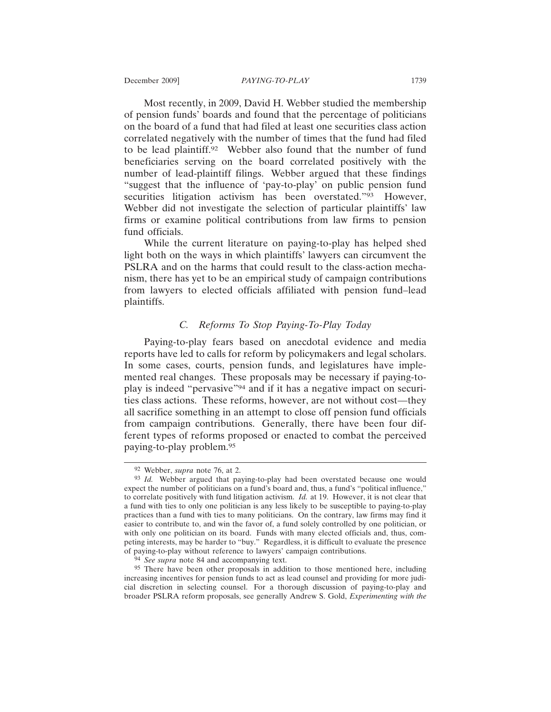Most recently, in 2009, David H. Webber studied the membership of pension funds' boards and found that the percentage of politicians on the board of a fund that had filed at least one securities class action correlated negatively with the number of times that the fund had filed to be lead plaintiff.92 Webber also found that the number of fund beneficiaries serving on the board correlated positively with the number of lead-plaintiff filings. Webber argued that these findings "suggest that the influence of 'pay-to-play' on public pension fund securities litigation activism has been overstated."93 However, Webber did not investigate the selection of particular plaintiffs' law firms or examine political contributions from law firms to pension fund officials.

While the current literature on paying-to-play has helped shed light both on the ways in which plaintiffs' lawyers can circumvent the PSLRA and on the harms that could result to the class-action mechanism, there has yet to be an empirical study of campaign contributions from lawyers to elected officials affiliated with pension fund–lead plaintiffs.

# *C. Reforms To Stop Paying-To-Play Today*

Paying-to-play fears based on anecdotal evidence and media reports have led to calls for reform by policymakers and legal scholars. In some cases, courts, pension funds, and legislatures have implemented real changes. These proposals may be necessary if paying-toplay is indeed "pervasive"94 and if it has a negative impact on securities class actions. These reforms, however, are not without cost—they all sacrifice something in an attempt to close off pension fund officials from campaign contributions. Generally, there have been four different types of reforms proposed or enacted to combat the perceived paying-to-play problem.95

<sup>92</sup> Webber, *supra* note 76, at 2.

<sup>93</sup> *Id.* Webber argued that paying-to-play had been overstated because one would expect the number of politicians on a fund's board and, thus, a fund's "political influence," to correlate positively with fund litigation activism. *Id.* at 19. However, it is not clear that a fund with ties to only one politician is any less likely to be susceptible to paying-to-play practices than a fund with ties to many politicians. On the contrary, law firms may find it easier to contribute to, and win the favor of, a fund solely controlled by one politician, or with only one politician on its board. Funds with many elected officials and, thus, competing interests, may be harder to "buy." Regardless, it is difficult to evaluate the presence of paying-to-play without reference to lawyers' campaign contributions.

<sup>94</sup> *See supra* note 84 and accompanying text.

<sup>95</sup> There have been other proposals in addition to those mentioned here, including increasing incentives for pension funds to act as lead counsel and providing for more judicial discretion in selecting counsel. For a thorough discussion of paying-to-play and broader PSLRA reform proposals, see generally Andrew S. Gold, *Experimenting with the*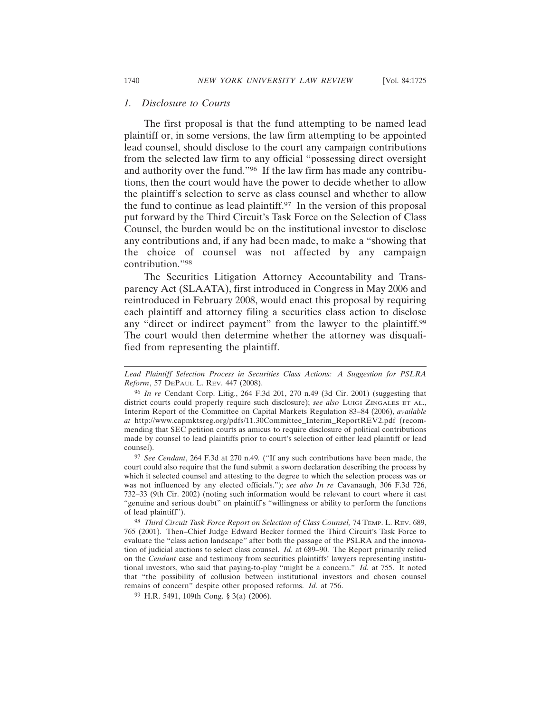#### *1. Disclosure to Courts*

The first proposal is that the fund attempting to be named lead plaintiff or, in some versions, the law firm attempting to be appointed lead counsel, should disclose to the court any campaign contributions from the selected law firm to any official "possessing direct oversight and authority over the fund."96 If the law firm has made any contributions, then the court would have the power to decide whether to allow the plaintiff's selection to serve as class counsel and whether to allow the fund to continue as lead plaintiff.<sup>97</sup> In the version of this proposal put forward by the Third Circuit's Task Force on the Selection of Class Counsel, the burden would be on the institutional investor to disclose any contributions and, if any had been made, to make a "showing that the choice of counsel was not affected by any campaign contribution."98

The Securities Litigation Attorney Accountability and Transparency Act (SLAATA), first introduced in Congress in May 2006 and reintroduced in February 2008, would enact this proposal by requiring each plaintiff and attorney filing a securities class action to disclose any "direct or indirect payment" from the lawyer to the plaintiff.<sup>99</sup> The court would then determine whether the attorney was disqualified from representing the plaintiff.

*Lead Plaintiff Selection Process in Securities Class Actions: A Suggestion for PSLRA Reform*, 57 DEPAUL L. REV. 447 (2008).

<sup>96</sup> *In re* Cendant Corp. Litig., 264 F.3d 201, 270 n.49 (3d Cir. 2001) (suggesting that district courts could properly require such disclosure); *see also* LUIGI ZINGALES ET AL., Interim Report of the Committee on Capital Markets Regulation 83–84 (2006), *available at* http://www.capmktsreg.org/pdfs/11.30Committee\_Interim\_ReportREV2.pdf (recommending that SEC petition courts as amicus to require disclosure of political contributions made by counsel to lead plaintiffs prior to court's selection of either lead plaintiff or lead counsel).

<sup>97</sup> *See Cendant*, 264 F.3d at 270 n.49*.* ("If any such contributions have been made, the court could also require that the fund submit a sworn declaration describing the process by which it selected counsel and attesting to the degree to which the selection process was or was not influenced by any elected officials."); *see also In re* Cavanaugh, 306 F.3d 726, 732–33 (9th Cir. 2002) (noting such information would be relevant to court where it cast "genuine and serious doubt" on plaintiff's "willingness or ability to perform the functions of lead plaintiff").

<sup>98</sup> *Third Circuit Task Force Report on Selection of Class Counsel,* 74 TEMP. L. REV. 689, 765 (2001). Then–Chief Judge Edward Becker formed the Third Circuit's Task Force to evaluate the "class action landscape" after both the passage of the PSLRA and the innovation of judicial auctions to select class counsel. *Id.* at 689–90. The Report primarily relied on the *Cendant* case and testimony from securities plaintiffs' lawyers representing institutional investors, who said that paying-to-play "might be a concern." *Id.* at 755. It noted that "the possibility of collusion between institutional investors and chosen counsel remains of concern" despite other proposed reforms. *Id.* at 756.

<sup>99</sup> H.R. 5491, 109th Cong. § 3(a) (2006).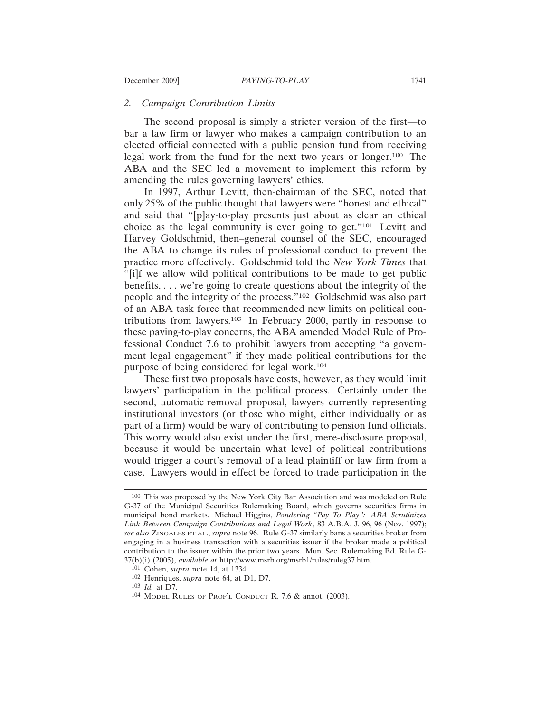## *2. Campaign Contribution Limits*

The second proposal is simply a stricter version of the first—to bar a law firm or lawyer who makes a campaign contribution to an elected official connected with a public pension fund from receiving legal work from the fund for the next two years or longer.100 The ABA and the SEC led a movement to implement this reform by amending the rules governing lawyers' ethics.

In 1997, Arthur Levitt, then-chairman of the SEC, noted that only 25% of the public thought that lawyers were "honest and ethical" and said that "[p]ay-to-play presents just about as clear an ethical choice as the legal community is ever going to get."101 Levitt and Harvey Goldschmid, then–general counsel of the SEC, encouraged the ABA to change its rules of professional conduct to prevent the practice more effectively. Goldschmid told the *New York Times* that "[i]f we allow wild political contributions to be made to get public benefits, . . . we're going to create questions about the integrity of the people and the integrity of the process."102 Goldschmid was also part of an ABA task force that recommended new limits on political contributions from lawyers.103 In February 2000, partly in response to these paying-to-play concerns, the ABA amended Model Rule of Professional Conduct 7.6 to prohibit lawyers from accepting "a government legal engagement" if they made political contributions for the purpose of being considered for legal work.104

These first two proposals have costs, however, as they would limit lawyers' participation in the political process. Certainly under the second, automatic-removal proposal, lawyers currently representing institutional investors (or those who might, either individually or as part of a firm) would be wary of contributing to pension fund officials. This worry would also exist under the first, mere-disclosure proposal, because it would be uncertain what level of political contributions would trigger a court's removal of a lead plaintiff or law firm from a case. Lawyers would in effect be forced to trade participation in the

<sup>100</sup> This was proposed by the New York City Bar Association and was modeled on Rule G-37 of the Municipal Securities Rulemaking Board, which governs securities firms in municipal bond markets. Michael Higgins, *Pondering "Pay To Play": ABA Scrutinizes Link Between Campaign Contributions and Legal Work*, 83 A.B.A. J. 96, 96 (Nov. 1997); *see also* ZINGALES ET AL., *supra* note 96. Rule G-37 similarly bans a securities broker from engaging in a business transaction with a securities issuer if the broker made a political contribution to the issuer within the prior two years. Mun. Sec. Rulemaking Bd. Rule G-37(b)(i) (2005), *available at* http://www.msrb.org/msrb1/rules/ruleg37.htm.

<sup>101</sup> Cohen, *supra* note 14, at 1334.

<sup>102</sup> Henriques, *supra* note 64, at D1, D7.

<sup>103</sup> *Id.* at D7.

<sup>104</sup> MODEL RULES OF PROF'L CONDUCT R. 7.6 & annot. (2003).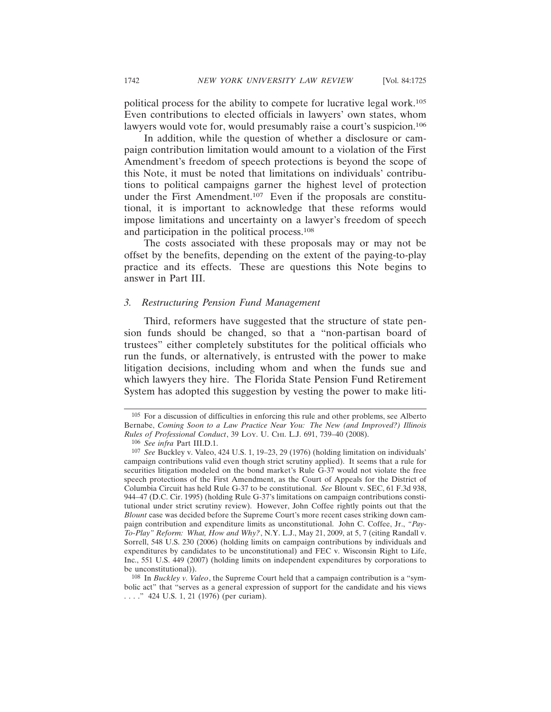political process for the ability to compete for lucrative legal work.105 Even contributions to elected officials in lawyers' own states, whom lawyers would vote for, would presumably raise a court's suspicion.<sup>106</sup>

In addition, while the question of whether a disclosure or campaign contribution limitation would amount to a violation of the First Amendment's freedom of speech protections is beyond the scope of this Note, it must be noted that limitations on individuals' contributions to political campaigns garner the highest level of protection under the First Amendment.107 Even if the proposals are constitutional, it is important to acknowledge that these reforms would impose limitations and uncertainty on a lawyer's freedom of speech and participation in the political process.108

The costs associated with these proposals may or may not be offset by the benefits, depending on the extent of the paying-to-play practice and its effects. These are questions this Note begins to answer in Part III.

#### *3. Restructuring Pension Fund Management*

Third, reformers have suggested that the structure of state pension funds should be changed, so that a "non-partisan board of trustees" either completely substitutes for the political officials who run the funds, or alternatively, is entrusted with the power to make litigation decisions, including whom and when the funds sue and which lawyers they hire. The Florida State Pension Fund Retirement System has adopted this suggestion by vesting the power to make liti-

<sup>105</sup> For a discussion of difficulties in enforcing this rule and other problems, see Alberto Bernabe, *Coming Soon to a Law Practice Near You: The New (and Improved?) Illinois Rules of Professional Conduct*, 39 LOY. U. CHI. L.J. 691, 739–40 (2008).

<sup>106</sup> *See infra* Part III.D.1.

<sup>107</sup> *See* Buckley v. Valeo, 424 U.S. 1, 19–23, 29 (1976) (holding limitation on individuals' campaign contributions valid even though strict scrutiny applied). It seems that a rule for securities litigation modeled on the bond market's Rule G-37 would not violate the free speech protections of the First Amendment, as the Court of Appeals for the District of Columbia Circuit has held Rule G-37 to be constitutional. *See* Blount v. SEC, 61 F.3d 938, 944–47 (D.C. Cir. 1995) (holding Rule G-37's limitations on campaign contributions constitutional under strict scrutiny review). However, John Coffee rightly points out that the *Blount* case was decided before the Supreme Court's more recent cases striking down campaign contribution and expenditure limits as unconstitutional. John C. Coffee, Jr., *"Pay-To-Play" Reform: What, How and Why?*, N.Y. L.J., May 21, 2009, at 5, 7 (citing Randall v. Sorrell, 548 U.S. 230 (2006) (holding limits on campaign contributions by individuals and expenditures by candidates to be unconstitutional) and FEC v. Wisconsin Right to Life, Inc., 551 U.S. 449 (2007) (holding limits on independent expenditures by corporations to be unconstitutional)).

<sup>108</sup> In *Buckley v. Valeo*, the Supreme Court held that a campaign contribution is a "symbolic act" that "serves as a general expression of support for the candidate and his views . . . ." 424 U.S. 1, 21 (1976) (per curiam).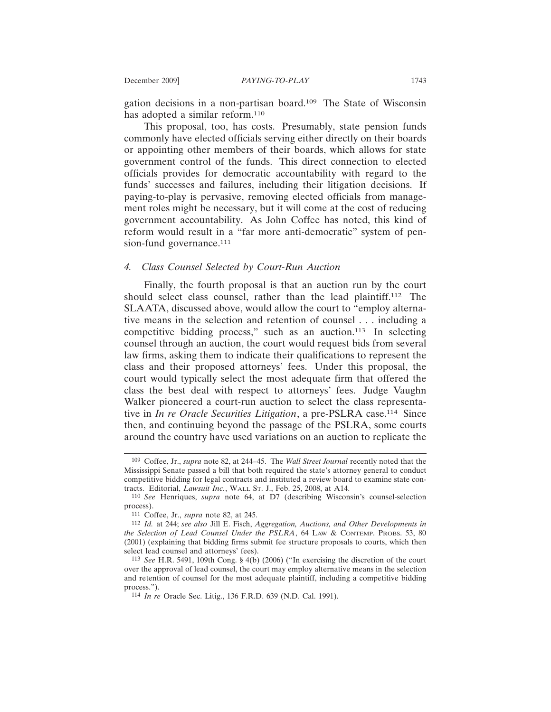gation decisions in a non-partisan board.109 The State of Wisconsin has adopted a similar reform.<sup>110</sup>

This proposal, too, has costs. Presumably, state pension funds commonly have elected officials serving either directly on their boards or appointing other members of their boards, which allows for state government control of the funds. This direct connection to elected officials provides for democratic accountability with regard to the funds' successes and failures, including their litigation decisions. If paying-to-play is pervasive, removing elected officials from management roles might be necessary, but it will come at the cost of reducing government accountability. As John Coffee has noted, this kind of reform would result in a "far more anti-democratic" system of pension-fund governance.<sup>111</sup>

## *4. Class Counsel Selected by Court-Run Auction*

Finally, the fourth proposal is that an auction run by the court should select class counsel, rather than the lead plaintiff.112 The SLAATA, discussed above, would allow the court to "employ alternative means in the selection and retention of counsel . . . including a competitive bidding process," such as an auction.113 In selecting counsel through an auction, the court would request bids from several law firms, asking them to indicate their qualifications to represent the class and their proposed attorneys' fees. Under this proposal, the court would typically select the most adequate firm that offered the class the best deal with respect to attorneys' fees. Judge Vaughn Walker pioneered a court-run auction to select the class representative in *In re Oracle Securities Litigation*, a pre-PSLRA case.114 Since then, and continuing beyond the passage of the PSLRA, some courts around the country have used variations on an auction to replicate the

<sup>109</sup> Coffee, Jr., *supra* note 82, at 244–45. The *Wall Street Journal* recently noted that the Mississippi Senate passed a bill that both required the state's attorney general to conduct competitive bidding for legal contracts and instituted a review board to examine state contracts. Editorial, *Lawsuit Inc.*, WALL ST. J., Feb. 25, 2008, at A14.

<sup>110</sup> *See* Henriques, *supra* note 64, at D7 (describing Wisconsin's counsel-selection process).

<sup>111</sup> Coffee, Jr., *supra* note 82, at 245.

<sup>112</sup> *Id.* at 244; *see also* Jill E. Fisch, *Aggregation, Auctions, and Other Developments in the Selection of Lead Counsel Under the PSLRA*, 64 LAW & CONTEMP. PROBS. 53, 80 (2001) (explaining that bidding firms submit fee structure proposals to courts, which then select lead counsel and attorneys' fees).

<sup>113</sup> *See* H.R. 5491, 109th Cong. § 4(b) (2006) ("In exercising the discretion of the court over the approval of lead counsel, the court may employ alternative means in the selection and retention of counsel for the most adequate plaintiff, including a competitive bidding process.").

<sup>114</sup> *In re* Oracle Sec. Litig., 136 F.R.D. 639 (N.D. Cal. 1991).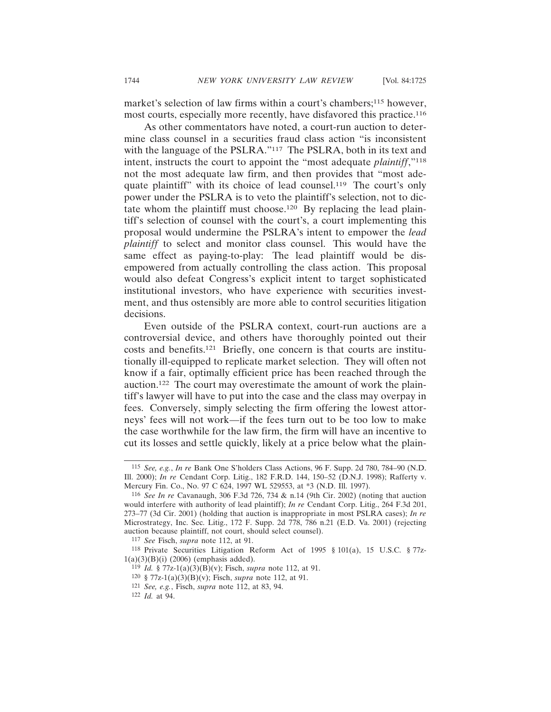market's selection of law firms within a court's chambers;<sup>115</sup> however, most courts, especially more recently, have disfavored this practice.116

As other commentators have noted, a court-run auction to determine class counsel in a securities fraud class action "is inconsistent with the language of the PSLRA."<sup>117</sup> The PSLRA, both in its text and intent, instructs the court to appoint the "most adequate *plaintiff*,"118 not the most adequate law firm, and then provides that "most adequate plaintiff" with its choice of lead counsel.119 The court's only power under the PSLRA is to veto the plaintiff's selection, not to dictate whom the plaintiff must choose.120 By replacing the lead plaintiff's selection of counsel with the court's, a court implementing this proposal would undermine the PSLRA's intent to empower the *lead plaintiff* to select and monitor class counsel. This would have the same effect as paying-to-play: The lead plaintiff would be disempowered from actually controlling the class action. This proposal would also defeat Congress's explicit intent to target sophisticated institutional investors, who have experience with securities investment, and thus ostensibly are more able to control securities litigation decisions.

Even outside of the PSLRA context, court-run auctions are a controversial device, and others have thoroughly pointed out their costs and benefits.121 Briefly, one concern is that courts are institutionally ill-equipped to replicate market selection. They will often not know if a fair, optimally efficient price has been reached through the auction.122 The court may overestimate the amount of work the plaintiff's lawyer will have to put into the case and the class may overpay in fees. Conversely, simply selecting the firm offering the lowest attorneys' fees will not work—if the fees turn out to be too low to make the case worthwhile for the law firm, the firm will have an incentive to cut its losses and settle quickly, likely at a price below what the plain-

<sup>115</sup> *See, e.g.*, *In re* Bank One S'holders Class Actions, 96 F. Supp. 2d 780, 784–90 (N.D. Ill. 2000); *In re* Cendant Corp. Litig., 182 F.R.D. 144, 150–52 (D.N.J. 1998); Rafferty v. Mercury Fin. Co., No. 97 C 624, 1997 WL 529553, at \*3 (N.D. Ill. 1997).

<sup>116</sup> *See In re* Cavanaugh, 306 F.3d 726, 734 & n.14 (9th Cir. 2002) (noting that auction would interfere with authority of lead plaintiff); *In re* Cendant Corp. Litig., 264 F.3d 201, 273–77 (3d Cir. 2001) (holding that auction is inappropriate in most PSLRA cases); *In re* Microstrategy, Inc. Sec. Litig., 172 F. Supp. 2d 778, 786 n.21 (E.D. Va. 2001) (rejecting auction because plaintiff, not court, should select counsel).

<sup>117</sup> *See* Fisch, *supra* note 112, at 91.

<sup>118</sup> Private Securities Litigation Reform Act of 1995 § 101(a), 15 U.S.C. § 77z-1(a)(3)(B)(i) (2006) (emphasis added).

<sup>119</sup> *Id.* § 77z-1(a)(3)(B)(v); Fisch, *supra* note 112, at 91.

<sup>120</sup> § 77z-1(a)(3)(B)(v); Fisch, *supra* note 112, at 91.

<sup>121</sup> *See, e.g.*, Fisch, *supra* note 112, at 83, 94.

<sup>122</sup> *Id.* at 94.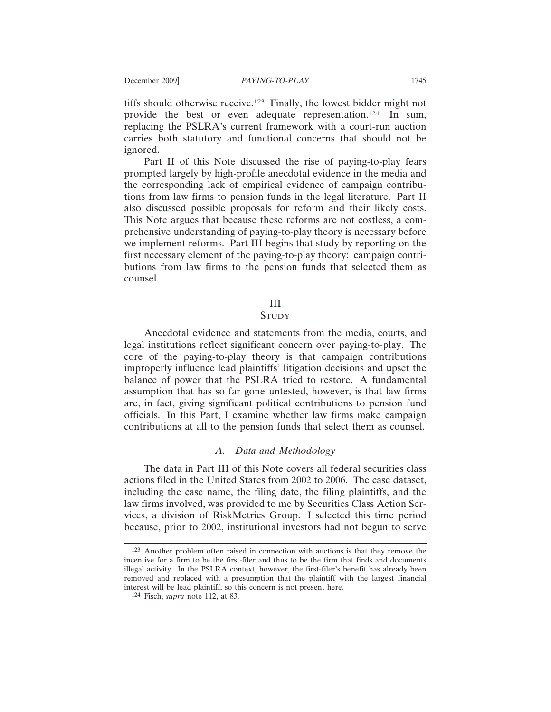tiffs should otherwise receive.123 Finally, the lowest bidder might not provide the best or even adequate representation.124 In sum, replacing the PSLRA's current framework with a court-run auction carries both statutory and functional concerns that should not be ignored.

Part II of this Note discussed the rise of paying-to-play fears prompted largely by high-profile anecdotal evidence in the media and the corresponding lack of empirical evidence of campaign contributions from law firms to pension funds in the legal literature. Part II also discussed possible proposals for reform and their likely costs. This Note argues that because these reforms are not costless, a comprehensive understanding of paying-to-play theory is necessary before we implement reforms. Part III begins that study by reporting on the first necessary element of the paying-to-play theory: campaign contributions from law firms to the pension funds that selected them as counsel.

#### III

## **STUDY**

Anecdotal evidence and statements from the media, courts, and legal institutions reflect significant concern over paying-to-play. The core of the paying-to-play theory is that campaign contributions improperly influence lead plaintiffs' litigation decisions and upset the balance of power that the PSLRA tried to restore. A fundamental assumption that has so far gone untested, however, is that law firms are, in fact, giving significant political contributions to pension fund officials. In this Part, I examine whether law firms make campaign contributions at all to the pension funds that select them as counsel.

# *A. Data and Methodology*

The data in Part III of this Note covers all federal securities class actions filed in the United States from 2002 to 2006. The case dataset, including the case name, the filing date, the filing plaintiffs, and the law firms involved, was provided to me by Securities Class Action Services, a division of RiskMetrics Group. I selected this time period because, prior to 2002, institutional investors had not begun to serve

<sup>123</sup> Another problem often raised in connection with auctions is that they remove the incentive for a firm to be the first-filer and thus to be the firm that finds and documents illegal activity. In the PSLRA context, however, the first-filer's benefit has already been removed and replaced with a presumption that the plaintiff with the largest financial interest will be lead plaintiff, so this concern is not present here.

<sup>124</sup> Fisch, *supra* note 112, at 83.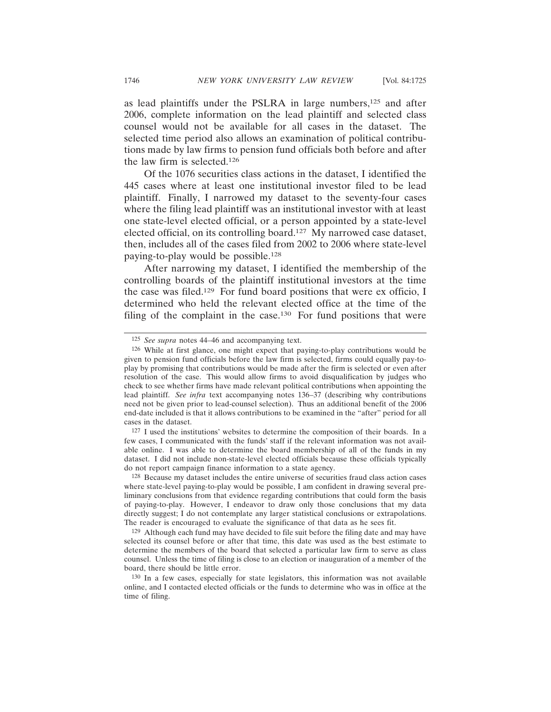as lead plaintiffs under the PSLRA in large numbers,125 and after 2006, complete information on the lead plaintiff and selected class counsel would not be available for all cases in the dataset. The selected time period also allows an examination of political contributions made by law firms to pension fund officials both before and after the law firm is selected.126

Of the 1076 securities class actions in the dataset, I identified the 445 cases where at least one institutional investor filed to be lead plaintiff. Finally, I narrowed my dataset to the seventy-four cases where the filing lead plaintiff was an institutional investor with at least one state-level elected official, or a person appointed by a state-level elected official, on its controlling board.127 My narrowed case dataset, then, includes all of the cases filed from 2002 to 2006 where state-level paying-to-play would be possible.128

After narrowing my dataset, I identified the membership of the controlling boards of the plaintiff institutional investors at the time the case was filed.129 For fund board positions that were ex officio, I determined who held the relevant elected office at the time of the filing of the complaint in the case.<sup>130</sup> For fund positions that were

127 I used the institutions' websites to determine the composition of their boards. In a few cases, I communicated with the funds' staff if the relevant information was not available online. I was able to determine the board membership of all of the funds in my dataset. I did not include non-state-level elected officials because these officials typically do not report campaign finance information to a state agency.

<sup>125</sup> *See supra* notes 44–46 and accompanying text.

<sup>126</sup> While at first glance, one might expect that paying-to-play contributions would be given to pension fund officials before the law firm is selected, firms could equally pay-toplay by promising that contributions would be made after the firm is selected or even after resolution of the case. This would allow firms to avoid disqualification by judges who check to see whether firms have made relevant political contributions when appointing the lead plaintiff. *See infra* text accompanying notes 136–37 (describing why contributions need not be given prior to lead-counsel selection). Thus an additional benefit of the 2006 end-date included is that it allows contributions to be examined in the "after" period for all cases in the dataset.

<sup>128</sup> Because my dataset includes the entire universe of securities fraud class action cases where state-level paying-to-play would be possible, I am confident in drawing several preliminary conclusions from that evidence regarding contributions that could form the basis of paying-to-play. However, I endeavor to draw only those conclusions that my data directly suggest; I do not contemplate any larger statistical conclusions or extrapolations. The reader is encouraged to evaluate the significance of that data as he sees fit.

<sup>129</sup> Although each fund may have decided to file suit before the filing date and may have selected its counsel before or after that time, this date was used as the best estimate to determine the members of the board that selected a particular law firm to serve as class counsel. Unless the time of filing is close to an election or inauguration of a member of the board, there should be little error.

<sup>130</sup> In a few cases, especially for state legislators, this information was not available online, and I contacted elected officials or the funds to determine who was in office at the time of filing.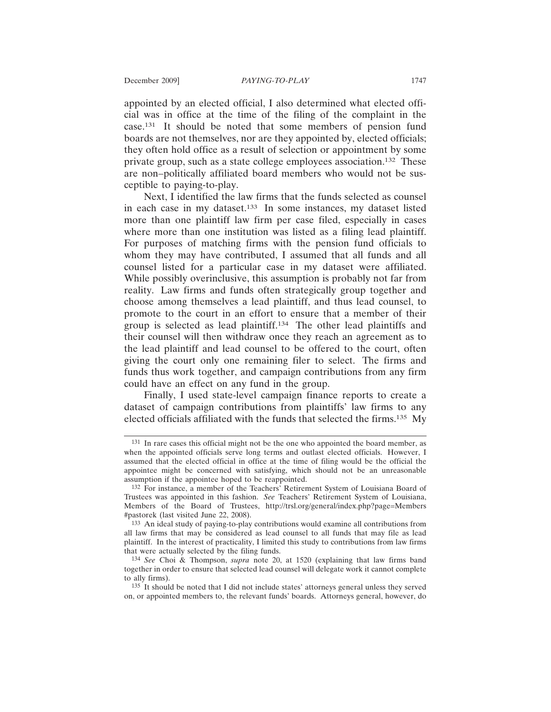appointed by an elected official, I also determined what elected official was in office at the time of the filing of the complaint in the case.131 It should be noted that some members of pension fund boards are not themselves, nor are they appointed by, elected officials; they often hold office as a result of selection or appointment by some private group, such as a state college employees association.132 These are non–politically affiliated board members who would not be susceptible to paying-to-play.

Next, I identified the law firms that the funds selected as counsel in each case in my dataset.133 In some instances, my dataset listed more than one plaintiff law firm per case filed, especially in cases where more than one institution was listed as a filing lead plaintiff. For purposes of matching firms with the pension fund officials to whom they may have contributed, I assumed that all funds and all counsel listed for a particular case in my dataset were affiliated. While possibly overinclusive, this assumption is probably not far from reality. Law firms and funds often strategically group together and choose among themselves a lead plaintiff, and thus lead counsel, to promote to the court in an effort to ensure that a member of their group is selected as lead plaintiff.134 The other lead plaintiffs and their counsel will then withdraw once they reach an agreement as to the lead plaintiff and lead counsel to be offered to the court, often giving the court only one remaining filer to select. The firms and funds thus work together, and campaign contributions from any firm could have an effect on any fund in the group.

Finally, I used state-level campaign finance reports to create a dataset of campaign contributions from plaintiffs' law firms to any elected officials affiliated with the funds that selected the firms.135 My

<sup>131</sup> In rare cases this official might not be the one who appointed the board member, as when the appointed officials serve long terms and outlast elected officials. However, I assumed that the elected official in office at the time of filing would be the official the appointee might be concerned with satisfying, which should not be an unreasonable assumption if the appointee hoped to be reappointed.

<sup>132</sup> For instance, a member of the Teachers' Retirement System of Louisiana Board of Trustees was appointed in this fashion. *See* Teachers' Retirement System of Louisiana, Members of the Board of Trustees, http://trsl.org/general/index.php?page=Members #pastorek (last visited June 22, 2008).

<sup>133</sup> An ideal study of paying-to-play contributions would examine all contributions from all law firms that may be considered as lead counsel to all funds that may file as lead plaintiff. In the interest of practicality, I limited this study to contributions from law firms that were actually selected by the filing funds.

<sup>134</sup> *See* Choi & Thompson, *supra* note 20, at 1520 (explaining that law firms band together in order to ensure that selected lead counsel will delegate work it cannot complete to ally firms).

<sup>135</sup> It should be noted that I did not include states' attorneys general unless they served on, or appointed members to, the relevant funds' boards. Attorneys general, however, do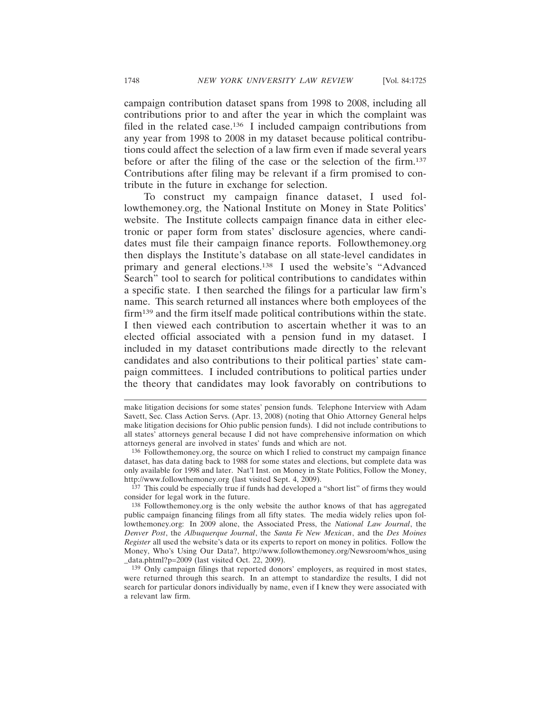campaign contribution dataset spans from 1998 to 2008, including all contributions prior to and after the year in which the complaint was filed in the related case.136 I included campaign contributions from any year from 1998 to 2008 in my dataset because political contributions could affect the selection of a law firm even if made several years before or after the filing of the case or the selection of the firm.137 Contributions after filing may be relevant if a firm promised to contribute in the future in exchange for selection.

To construct my campaign finance dataset, I used followthemoney.org, the National Institute on Money in State Politics' website. The Institute collects campaign finance data in either electronic or paper form from states' disclosure agencies, where candidates must file their campaign finance reports. Followthemoney.org then displays the Institute's database on all state-level candidates in primary and general elections.138 I used the website's "Advanced Search" tool to search for political contributions to candidates within a specific state. I then searched the filings for a particular law firm's name. This search returned all instances where both employees of the firm139 and the firm itself made political contributions within the state. I then viewed each contribution to ascertain whether it was to an elected official associated with a pension fund in my dataset. I included in my dataset contributions made directly to the relevant candidates and also contributions to their political parties' state campaign committees. I included contributions to political parties under the theory that candidates may look favorably on contributions to

<sup>137</sup> This could be especially true if funds had developed a "short list" of firms they would consider for legal work in the future.

139 Only campaign filings that reported donors' employers, as required in most states, were returned through this search. In an attempt to standardize the results, I did not search for particular donors individually by name, even if I knew they were associated with a relevant law firm.

make litigation decisions for some states' pension funds. Telephone Interview with Adam Savett, Sec. Class Action Servs. (Apr. 13, 2008) (noting that Ohio Attorney General helps make litigation decisions for Ohio public pension funds). I did not include contributions to all states' attorneys general because I did not have comprehensive information on which attorneys general are involved in states' funds and which are not.

<sup>136</sup> Followthemoney.org, the source on which I relied to construct my campaign finance dataset, has data dating back to 1988 for some states and elections, but complete data was only available for 1998 and later. Nat'l Inst. on Money in State Politics, Follow the Money, http://www.followthemoney.org (last visited Sept. 4, 2009).

<sup>138</sup> Followthemoney.org is the only website the author knows of that has aggregated public campaign financing filings from all fifty states. The media widely relies upon followthemoney.org: In 2009 alone, the Associated Press, the *National Law Journal*, the *Denver Post*, the *Albuquerque Journal*, the *Santa Fe New Mexican*, and the *Des Moines Register* all used the website's data or its experts to report on money in politics. Follow the Money, Who's Using Our Data?, http://www.followthemoney.org/Newsroom/whos\_using \_data.phtml?p=2009 (last visited Oct. 22, 2009).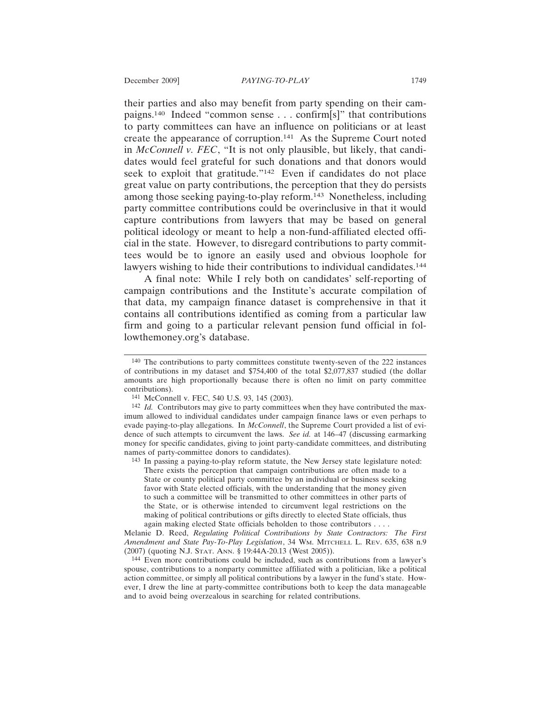their parties and also may benefit from party spending on their campaigns.140 Indeed "common sense . . . confirm[s]" that contributions to party committees can have an influence on politicians or at least create the appearance of corruption.141 As the Supreme Court noted in *McConnell v. FEC*, "It is not only plausible, but likely, that candidates would feel grateful for such donations and that donors would seek to exploit that gratitude."142 Even if candidates do not place great value on party contributions, the perception that they do persists among those seeking paying-to-play reform.143 Nonetheless, including party committee contributions could be overinclusive in that it would capture contributions from lawyers that may be based on general political ideology or meant to help a non-fund-affiliated elected official in the state. However, to disregard contributions to party committees would be to ignore an easily used and obvious loophole for lawyers wishing to hide their contributions to individual candidates.<sup>144</sup>

A final note: While I rely both on candidates' self-reporting of campaign contributions and the Institute's accurate compilation of that data, my campaign finance dataset is comprehensive in that it contains all contributions identified as coming from a particular law firm and going to a particular relevant pension fund official in followthemoney.org's database.

143 In passing a paying-to-play reform statute, the New Jersey state legislature noted: There exists the perception that campaign contributions are often made to a State or county political party committee by an individual or business seeking favor with State elected officials, with the understanding that the money given to such a committee will be transmitted to other committees in other parts of the State, or is otherwise intended to circumvent legal restrictions on the making of political contributions or gifts directly to elected State officials, thus again making elected State officials beholden to those contributors . . . .

Melanie D. Reed, *Regulating Political Contributions by State Contractors: The First Amendment and State Pay-To-Play Legislation*, 34 WM. MITCHELL L. REV. 635, 638 n.9 (2007) (quoting N.J. STAT. ANN. § 19:44A-20.13 (West 2005)).

144 Even more contributions could be included, such as contributions from a lawyer's spouse, contributions to a nonparty committee affiliated with a politician, like a political action committee, or simply all political contributions by a lawyer in the fund's state. However, I drew the line at party-committee contributions both to keep the data manageable and to avoid being overzealous in searching for related contributions.

<sup>140</sup> The contributions to party committees constitute twenty-seven of the 222 instances of contributions in my dataset and \$754,400 of the total \$2,077,837 studied (the dollar amounts are high proportionally because there is often no limit on party committee contributions).

<sup>141</sup> McConnell v. FEC, 540 U.S. 93, 145 (2003).

<sup>&</sup>lt;sup>142</sup> *Id.* Contributors may give to party committees when they have contributed the maximum allowed to individual candidates under campaign finance laws or even perhaps to evade paying-to-play allegations. In *McConnell*, the Supreme Court provided a list of evidence of such attempts to circumvent the laws. *See id.* at 146–47 (discussing earmarking money for specific candidates, giving to joint party-candidate committees, and distributing names of party-committee donors to candidates).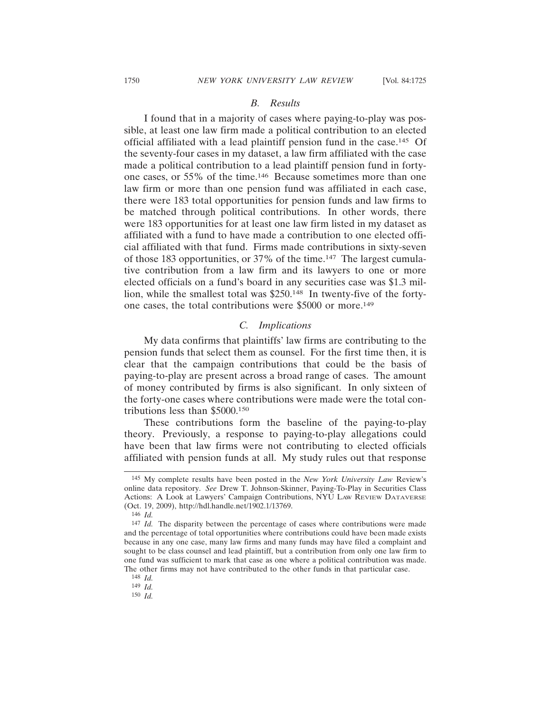# *B. Results*

I found that in a majority of cases where paying-to-play was possible, at least one law firm made a political contribution to an elected official affiliated with a lead plaintiff pension fund in the case.145 Of the seventy-four cases in my dataset, a law firm affiliated with the case made a political contribution to a lead plaintiff pension fund in fortyone cases, or 55% of the time.146 Because sometimes more than one law firm or more than one pension fund was affiliated in each case, there were 183 total opportunities for pension funds and law firms to be matched through political contributions. In other words, there were 183 opportunities for at least one law firm listed in my dataset as affiliated with a fund to have made a contribution to one elected official affiliated with that fund. Firms made contributions in sixty-seven of those 183 opportunities, or 37% of the time.147 The largest cumulative contribution from a law firm and its lawyers to one or more elected officials on a fund's board in any securities case was \$1.3 million, while the smallest total was \$250.148 In twenty-five of the fortyone cases, the total contributions were \$5000 or more.149

# *C. Implications*

My data confirms that plaintiffs' law firms are contributing to the pension funds that select them as counsel. For the first time then, it is clear that the campaign contributions that could be the basis of paying-to-play are present across a broad range of cases. The amount of money contributed by firms is also significant. In only sixteen of the forty-one cases where contributions were made were the total contributions less than \$5000.150

These contributions form the baseline of the paying-to-play theory. Previously, a response to paying-to-play allegations could have been that law firms were not contributing to elected officials affiliated with pension funds at all. My study rules out that response

<sup>145</sup> My complete results have been posted in the *New York University Law* Review's online data repository. *See* Drew T. Johnson-Skinner, Paying-To-Play in Securities Class Actions: A Look at Lawyers' Campaign Contributions, NYU LAW REVIEW DATAVERSE (Oct. 19, 2009), http://hdl.handle.net/1902.1/13769.

<sup>146</sup> *Id.*

<sup>147</sup> *Id.* The disparity between the percentage of cases where contributions were made and the percentage of total opportunities where contributions could have been made exists because in any one case, many law firms and many funds may have filed a complaint and sought to be class counsel and lead plaintiff, but a contribution from only one law firm to one fund was sufficient to mark that case as one where a political contribution was made. The other firms may not have contributed to the other funds in that particular case.

<sup>148</sup> *Id.*

<sup>149</sup> *Id.*

<sup>150</sup> *Id.*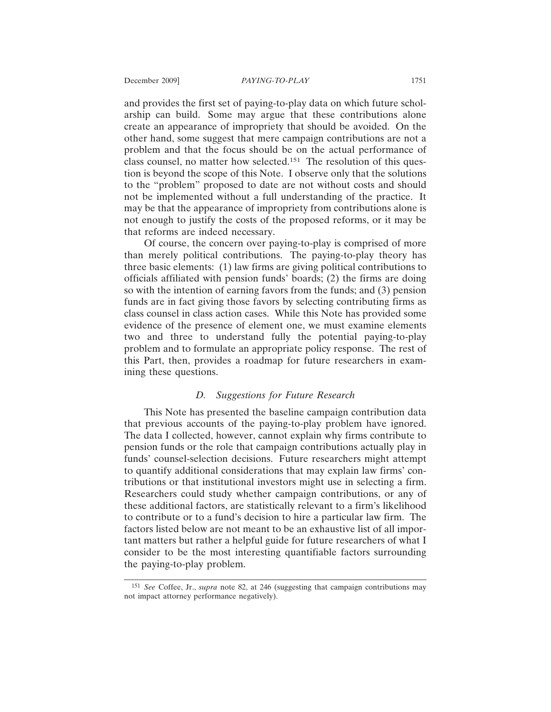and provides the first set of paying-to-play data on which future scholarship can build. Some may argue that these contributions alone create an appearance of impropriety that should be avoided. On the other hand, some suggest that mere campaign contributions are not a problem and that the focus should be on the actual performance of class counsel, no matter how selected.151 The resolution of this question is beyond the scope of this Note. I observe only that the solutions to the "problem" proposed to date are not without costs and should not be implemented without a full understanding of the practice. It may be that the appearance of impropriety from contributions alone is not enough to justify the costs of the proposed reforms, or it may be that reforms are indeed necessary.

Of course, the concern over paying-to-play is comprised of more than merely political contributions. The paying-to-play theory has three basic elements: (1) law firms are giving political contributions to officials affiliated with pension funds' boards; (2) the firms are doing so with the intention of earning favors from the funds; and (3) pension funds are in fact giving those favors by selecting contributing firms as class counsel in class action cases. While this Note has provided some evidence of the presence of element one, we must examine elements two and three to understand fully the potential paying-to-play problem and to formulate an appropriate policy response. The rest of this Part, then, provides a roadmap for future researchers in examining these questions.

# *D. Suggestions for Future Research*

This Note has presented the baseline campaign contribution data that previous accounts of the paying-to-play problem have ignored. The data I collected, however, cannot explain why firms contribute to pension funds or the role that campaign contributions actually play in funds' counsel-selection decisions. Future researchers might attempt to quantify additional considerations that may explain law firms' contributions or that institutional investors might use in selecting a firm. Researchers could study whether campaign contributions, or any of these additional factors, are statistically relevant to a firm's likelihood to contribute or to a fund's decision to hire a particular law firm. The factors listed below are not meant to be an exhaustive list of all important matters but rather a helpful guide for future researchers of what I consider to be the most interesting quantifiable factors surrounding the paying-to-play problem.

<sup>151</sup> *See* Coffee, Jr., *supra* note 82, at 246 (suggesting that campaign contributions may not impact attorney performance negatively).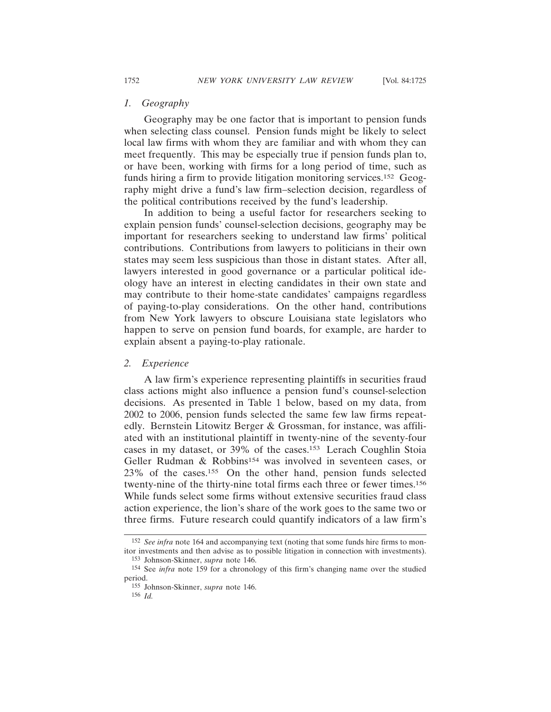# *1. Geography*

Geography may be one factor that is important to pension funds when selecting class counsel. Pension funds might be likely to select local law firms with whom they are familiar and with whom they can meet frequently. This may be especially true if pension funds plan to, or have been, working with firms for a long period of time, such as funds hiring a firm to provide litigation monitoring services.152 Geography might drive a fund's law firm–selection decision, regardless of the political contributions received by the fund's leadership.

In addition to being a useful factor for researchers seeking to explain pension funds' counsel-selection decisions, geography may be important for researchers seeking to understand law firms' political contributions. Contributions from lawyers to politicians in their own states may seem less suspicious than those in distant states. After all, lawyers interested in good governance or a particular political ideology have an interest in electing candidates in their own state and may contribute to their home-state candidates' campaigns regardless of paying-to-play considerations. On the other hand, contributions from New York lawyers to obscure Louisiana state legislators who happen to serve on pension fund boards, for example, are harder to explain absent a paying-to-play rationale.

## *2. Experience*

A law firm's experience representing plaintiffs in securities fraud class actions might also influence a pension fund's counsel-selection decisions. As presented in Table 1 below, based on my data, from 2002 to 2006, pension funds selected the same few law firms repeatedly. Bernstein Litowitz Berger & Grossman, for instance, was affiliated with an institutional plaintiff in twenty-nine of the seventy-four cases in my dataset, or 39% of the cases.153 Lerach Coughlin Stoia Geller Rudman & Robbins<sup>154</sup> was involved in seventeen cases, or 23% of the cases.155 On the other hand, pension funds selected twenty-nine of the thirty-nine total firms each three or fewer times.156 While funds select some firms without extensive securities fraud class action experience, the lion's share of the work goes to the same two or three firms. Future research could quantify indicators of a law firm's

156 *Id.*

<sup>152</sup> *See infra* note 164 and accompanying text (noting that some funds hire firms to monitor investments and then advise as to possible litigation in connection with investments).

<sup>153</sup> Johnson-Skinner, *supra* note 146.

<sup>154</sup> See *infra* note 159 for a chronology of this firm's changing name over the studied period.

<sup>155</sup> Johnson-Skinner, *supra* note 146.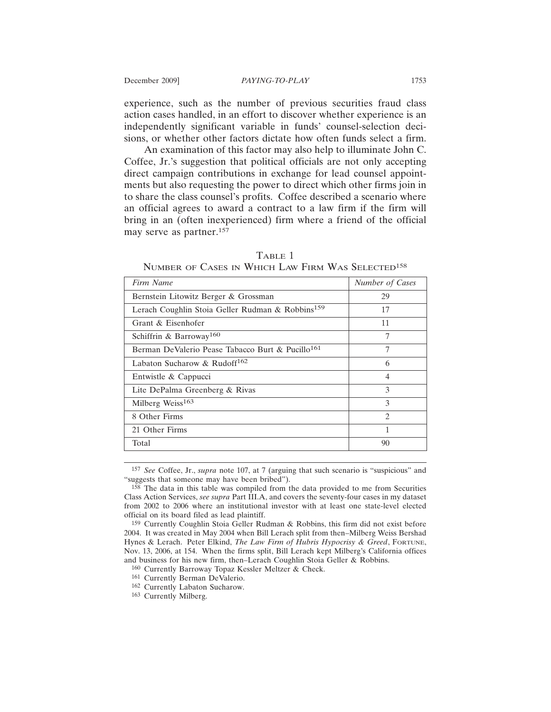experience, such as the number of previous securities fraud class action cases handled, in an effort to discover whether experience is an independently significant variable in funds' counsel-selection decisions, or whether other factors dictate how often funds select a firm.

An examination of this factor may also help to illuminate John C. Coffee, Jr.'s suggestion that political officials are not only accepting direct campaign contributions in exchange for lead counsel appointments but also requesting the power to direct which other firms join in to share the class counsel's profits. Coffee described a scenario where an official agrees to award a contract to a law firm if the firm will bring in an (often inexperienced) firm where a friend of the official may serve as partner.157

| Firm Name                                                    | Number of Cases |
|--------------------------------------------------------------|-----------------|
| Bernstein Litowitz Berger & Grossman                         | 29              |
| Lerach Coughlin Stoia Geller Rudman & Robbins <sup>159</sup> | 17              |
| Grant & Eisenhofer                                           | 11              |
| Schiffrin & Barroway <sup>160</sup>                          | 7               |
| Berman DeValerio Pease Tabacco Burt & Pucillo <sup>161</sup> | 7               |
| Labaton Sucharow & Rudoff <sup>162</sup>                     | 6               |
| Entwistle & Cappucci                                         | 4               |
| Lite DePalma Greenberg & Rivas                               | 3               |
| Milberg Weiss <sup>163</sup>                                 | 3               |
| 8 Other Firms                                                | $\mathfrak{D}$  |
| 21 Other Firms                                               | 1               |
| Total                                                        | 90              |

TABLE 1 NUMBER OF CASES IN WHICH LAW FIRM WAS SELECTED158

157 *See* Coffee, Jr., *supra* note 107, at 7 (arguing that such scenario is "suspicious" and "suggests that someone may have been bribed").

158 The data in this table was compiled from the data provided to me from Securities Class Action Services, *see supra* Part III.A, and covers the seventy-four cases in my dataset from 2002 to 2006 where an institutional investor with at least one state-level elected official on its board filed as lead plaintiff.

160 Currently Barroway Topaz Kessler Meltzer & Check.

161 Currently Berman DeValerio.

162 Currently Labaton Sucharow.

163 Currently Milberg.

<sup>159</sup> Currently Coughlin Stoia Geller Rudman & Robbins, this firm did not exist before 2004. It was created in May 2004 when Bill Lerach split from then–Milberg Weiss Bershad Hynes & Lerach. Peter Elkind, *The Law Firm of Hubris Hypocrisy & Greed*, FORTUNE, Nov. 13, 2006, at 154. When the firms split, Bill Lerach kept Milberg's California offices and business for his new firm, then–Lerach Coughlin Stoia Geller & Robbins.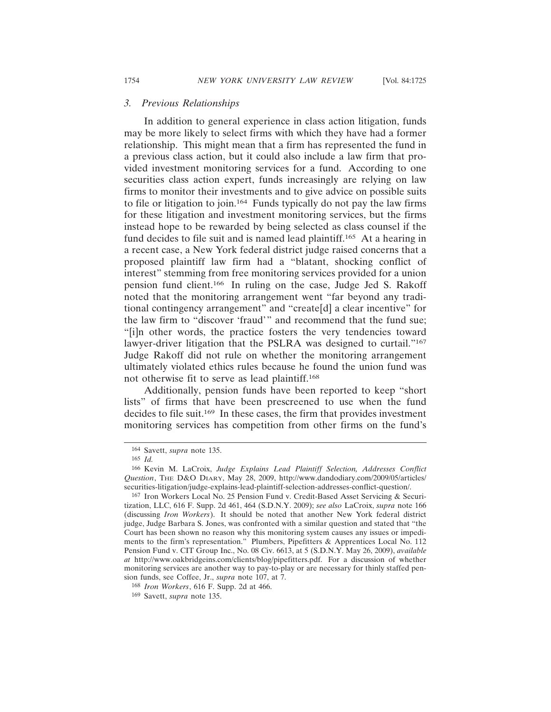### *3. Previous Relationships*

In addition to general experience in class action litigation, funds may be more likely to select firms with which they have had a former relationship. This might mean that a firm has represented the fund in a previous class action, but it could also include a law firm that provided investment monitoring services for a fund. According to one securities class action expert, funds increasingly are relying on law firms to monitor their investments and to give advice on possible suits to file or litigation to join.164 Funds typically do not pay the law firms for these litigation and investment monitoring services, but the firms instead hope to be rewarded by being selected as class counsel if the fund decides to file suit and is named lead plaintiff.165 At a hearing in a recent case, a New York federal district judge raised concerns that a proposed plaintiff law firm had a "blatant, shocking conflict of interest" stemming from free monitoring services provided for a union pension fund client.166 In ruling on the case, Judge Jed S. Rakoff noted that the monitoring arrangement went "far beyond any traditional contingency arrangement" and "create[d] a clear incentive" for the law firm to "discover 'fraud'" and recommend that the fund sue; "[i]n other words, the practice fosters the very tendencies toward lawyer-driver litigation that the PSLRA was designed to curtail."<sup>167</sup> Judge Rakoff did not rule on whether the monitoring arrangement ultimately violated ethics rules because he found the union fund was not otherwise fit to serve as lead plaintiff.168

Additionally, pension funds have been reported to keep "short lists" of firms that have been prescreened to use when the fund decides to file suit.169 In these cases, the firm that provides investment monitoring services has competition from other firms on the fund's

<sup>164</sup> Savett, *supra* note 135.

<sup>165</sup> *Id.*

<sup>166</sup> Kevin M. LaCroix, *Judge Explains Lead Plaintiff Selection, Addresses Conflict Question*, THE D&O DIARY, May 28, 2009, http://www.dandodiary.com/2009/05/articles/ securities-litigation/judge-explains-lead-plaintiff-selection-addresses-conflict-question/.

<sup>167</sup> Iron Workers Local No. 25 Pension Fund v. Credit-Based Asset Servicing & Securitization, LLC, 616 F. Supp. 2d 461, 464 (S.D.N.Y. 2009); *see also* LaCroix, *supra* note 166 (discussing *Iron Workers*). It should be noted that another New York federal district judge, Judge Barbara S. Jones, was confronted with a similar question and stated that "the Court has been shown no reason why this monitoring system causes any issues or impediments to the firm's representation." Plumbers, Pipefitters & Apprentices Local No. 112 Pension Fund v. CIT Group Inc., No. 08 Civ. 6613, at 5 (S.D.N.Y. May 26, 2009), *available at* http://www.oakbridgeins.com/clients/blog/pipefitters.pdf. For a discussion of whether monitoring services are another way to pay-to-play or are necessary for thinly staffed pension funds, see Coffee, Jr., *supra* note 107, at 7.

<sup>168</sup> *Iron Workers*, 616 F. Supp. 2d at 466.

<sup>169</sup> Savett, *supra* note 135.